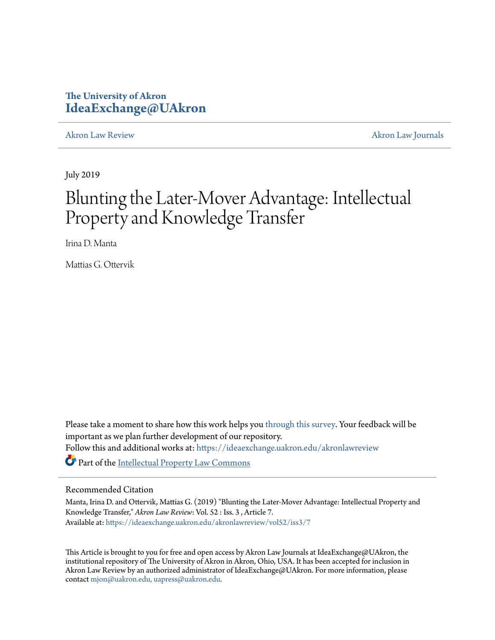# **The University of Akron [IdeaExchange@UAkron](https://ideaexchange.uakron.edu?utm_source=ideaexchange.uakron.edu%2Fakronlawreview%2Fvol52%2Fiss3%2F7&utm_medium=PDF&utm_campaign=PDFCoverPages)**

[Akron Law Review](https://ideaexchange.uakron.edu/akronlawreview?utm_source=ideaexchange.uakron.edu%2Fakronlawreview%2Fvol52%2Fiss3%2F7&utm_medium=PDF&utm_campaign=PDFCoverPages) [Akron Law Journals](https://ideaexchange.uakron.edu/akronlawjournals?utm_source=ideaexchange.uakron.edu%2Fakronlawreview%2Fvol52%2Fiss3%2F7&utm_medium=PDF&utm_campaign=PDFCoverPages)

July 2019

# Blunting the Later-Mover Advantage: Intellectual Property and Knowledge Transfer

Irina D. Manta

Mattias G. Ottervik

Please take a moment to share how this work helps you [through this survey.](http://survey.az1.qualtrics.com/SE/?SID=SV_eEVH54oiCbOw05f&URL=https://ideaexchange.uakron.edu/akronlawreview/vol52/iss3/7) Your feedback will be important as we plan further development of our repository. Follow this and additional works at: [https://ideaexchange.uakron.edu/akronlawreview](https://ideaexchange.uakron.edu/akronlawreview?utm_source=ideaexchange.uakron.edu%2Fakronlawreview%2Fvol52%2Fiss3%2F7&utm_medium=PDF&utm_campaign=PDFCoverPages) Part of the [Intellectual Property Law Commons](http://network.bepress.com/hgg/discipline/896?utm_source=ideaexchange.uakron.edu%2Fakronlawreview%2Fvol52%2Fiss3%2F7&utm_medium=PDF&utm_campaign=PDFCoverPages)

# Recommended Citation

Manta, Irina D. and Ottervik, Mattias G. (2019) "Blunting the Later-Mover Advantage: Intellectual Property and Knowledge Transfer," *Akron Law Review*: Vol. 52 : Iss. 3 , Article 7. Available at: [https://ideaexchange.uakron.edu/akronlawreview/vol52/iss3/7](https://ideaexchange.uakron.edu/akronlawreview/vol52/iss3/7?utm_source=ideaexchange.uakron.edu%2Fakronlawreview%2Fvol52%2Fiss3%2F7&utm_medium=PDF&utm_campaign=PDFCoverPages)

This Article is brought to you for free and open access by Akron Law Journals at IdeaExchange@UAkron, the institutional repository of The University of Akron in Akron, Ohio, USA. It has been accepted for inclusion in Akron Law Review by an authorized administrator of IdeaExchange@UAkron. For more information, please contact [mjon@uakron.edu, uapress@uakron.edu.](mailto:mjon@uakron.edu,%20uapress@uakron.edu)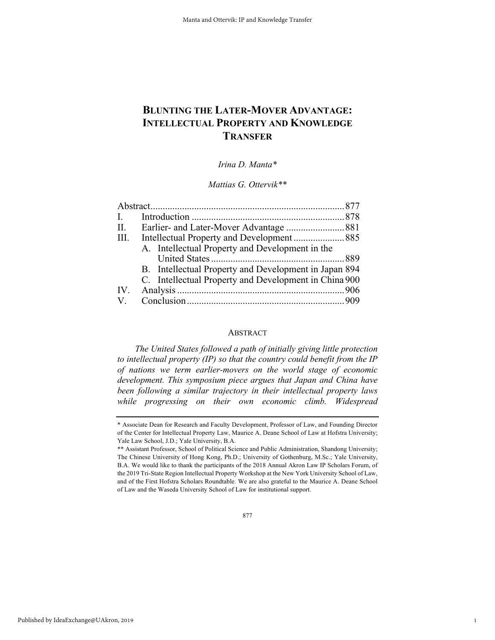# **BLUNTING THE LATER-MOVER ADVANTAGE: INTELLECTUAL PROPERTY AND KNOWLEDGE TRANSFER**

*Irina D. Manta\**

*Mattias G. Ottervik\*\**

| $\mathbf{I}$ .       |                                                       |  |
|----------------------|-------------------------------------------------------|--|
| II.                  |                                                       |  |
| III.                 |                                                       |  |
|                      | A. Intellectual Property and Development in the       |  |
|                      |                                                       |  |
|                      | B. Intellectual Property and Development in Japan 894 |  |
|                      | C. Intellectual Property and Development in China 900 |  |
| IV.                  |                                                       |  |
| $\mathbf{V}_{\cdot}$ |                                                       |  |

# ABSTRACT

*The United States followed a path of initially giving little protection to intellectual property (IP) so that the country could benefit from the IP of nations we term earlier-movers on the world stage of economic development. This symposium piece argues that Japan and China have been following a similar trajectory in their intellectual property laws while progressing on their own economic climb. Widespread* 

1

<sup>\*</sup> Associate Dean for Research and Faculty Development, Professor of Law, and Founding Director of the Center for Intellectual Property Law, Maurice A. Deane School of Law at Hofstra University; Yale Law School, J.D.; Yale University, B.A.

<sup>\*\*</sup> Assistant Professor, School of Political Science and Public Administration, Shandong University; The Chinese University of Hong Kong, Ph.D.; University of Gothenburg, M.Sc.; Yale University, B.A. We would like to thank the participants of the 2018 Annual Akron Law IP Scholars Forum, of the 2019 Tri-State Region Intellectual Property Workshop at the New York University School of Law, and of the First Hofstra Scholars Roundtable. We are also grateful to the Maurice A. Deane School of Law and the Waseda University School of Law for institutional support.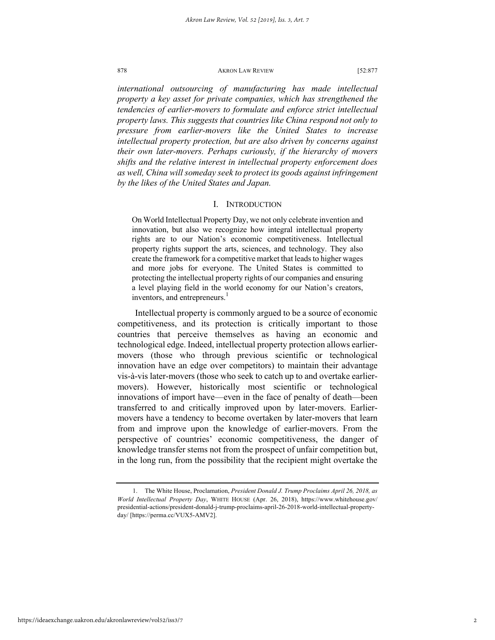*international outsourcing of manufacturing has made intellectual property a key asset for private companies, which has strengthened the tendencies of earlier-movers to formulate and enforce strict intellectual property laws. This suggests that countries like China respond not only to pressure from earlier-movers like the United States to increase intellectual property protection, but are also driven by concerns against their own later-movers. Perhaps curiously, if the hierarchy of movers shifts and the relative interest in intellectual property enforcement does as well, China will someday seek to protect its goods against infringement by the likes of the United States and Japan.*

#### I. INTRODUCTION

On World Intellectual Property Day, we not only celebrate invention and innovation, but also we recognize how integral intellectual property rights are to our Nation's economic competitiveness. Intellectual property rights support the arts, sciences, and technology. They also create the framework for a competitive market that leads to higher wages and more jobs for everyone. The United States is committed to protecting the intellectual property rights of our companies and ensuring a level playing field in the world economy for our Nation's creators, inventors, and entrepreneurs.<sup>1</sup>

Intellectual property is commonly argued to be a source of economic competitiveness, and its protection is critically important to those countries that perceive themselves as having an economic and technological edge. Indeed, intellectual property protection allows earliermovers (those who through previous scientific or technological innovation have an edge over competitors) to maintain their advantage vis-à-vis later-movers (those who seek to catch up to and overtake earliermovers). However, historically most scientific or technological innovations of import have—even in the face of penalty of death—been transferred to and critically improved upon by later-movers. Earliermovers have a tendency to become overtaken by later-movers that learn from and improve upon the knowledge of earlier-movers. From the perspective of countries' economic competitiveness, the danger of knowledge transfer stems not from the prospect of unfair competition but, in the long run, from the possibility that the recipient might overtake the

<sup>1.</sup> The White House, Proclamation, *President Donald J. Trump Proclaims April 26, 2018, as World Intellectual Property Day*, WHITE HOUSE (Apr. 26, 2018), https://www.whitehouse.gov/ presidential-actions/president-donald-j-trump-proclaims-april-26-2018-world-intellectual-propertyday/ [https://perma.cc/VUX5-AMV2].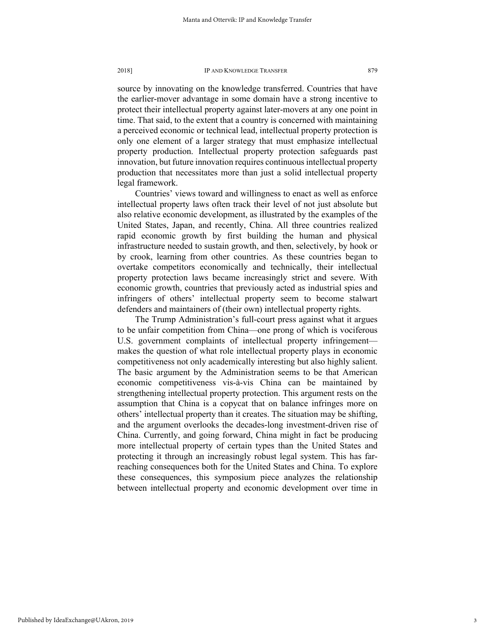source by innovating on the knowledge transferred. Countries that have the earlier-mover advantage in some domain have a strong incentive to protect their intellectual property against later-movers at any one point in time. That said, to the extent that a country is concerned with maintaining a perceived economic or technical lead, intellectual property protection is only one element of a larger strategy that must emphasize intellectual property production. Intellectual property protection safeguards past innovation, but future innovation requires continuous intellectual property production that necessitates more than just a solid intellectual property legal framework.

Countries' views toward and willingness to enact as well as enforce intellectual property laws often track their level of not just absolute but also relative economic development, as illustrated by the examples of the United States, Japan, and recently, China. All three countries realized rapid economic growth by first building the human and physical infrastructure needed to sustain growth, and then, selectively, by hook or by crook, learning from other countries. As these countries began to overtake competitors economically and technically, their intellectual property protection laws became increasingly strict and severe. With economic growth, countries that previously acted as industrial spies and infringers of others' intellectual property seem to become stalwart defenders and maintainers of (their own) intellectual property rights.

The Trump Administration's full-court press against what it argues to be unfair competition from China—one prong of which is vociferous U.S. government complaints of intellectual property infringement makes the question of what role intellectual property plays in economic competitiveness not only academically interesting but also highly salient. The basic argument by the Administration seems to be that American economic competitiveness vis-à-vis China can be maintained by strengthening intellectual property protection. This argument rests on the assumption that China is a copycat that on balance infringes more on others' intellectual property than it creates. The situation may be shifting, and the argument overlooks the decades-long investment-driven rise of China. Currently, and going forward, China might in fact be producing more intellectual property of certain types than the United States and protecting it through an increasingly robust legal system. This has farreaching consequences both for the United States and China. To explore these consequences, this symposium piece analyzes the relationship between intellectual property and economic development over time in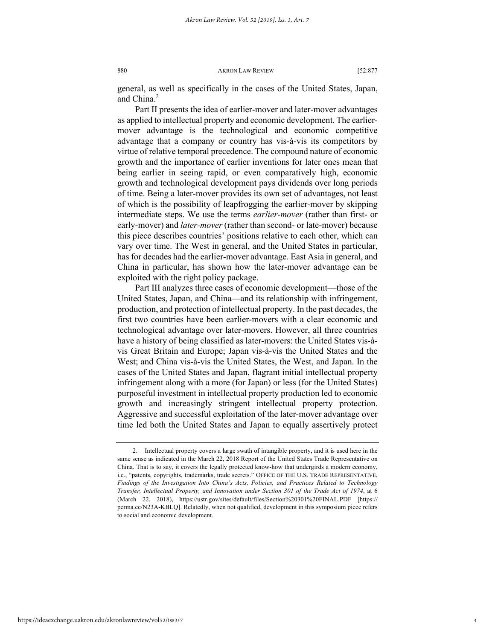general, as well as specifically in the cases of the United States, Japan, and China.<sup>2</sup>

Part II presents the idea of earlier-mover and later-mover advantages as applied to intellectual property and economic development. The earliermover advantage is the technological and economic competitive advantage that a company or country has vis-à-vis its competitors by virtue of relative temporal precedence. The compound nature of economic growth and the importance of earlier inventions for later ones mean that being earlier in seeing rapid, or even comparatively high, economic growth and technological development pays dividends over long periods of time. Being a later-mover provides its own set of advantages, not least of which is the possibility of leapfrogging the earlier-mover by skipping intermediate steps. We use the terms *earlier-mover* (rather than first- or early-mover) and *later-mover* (rather than second- or late-mover) because this piece describes countries' positions relative to each other, which can vary over time. The West in general, and the United States in particular, has for decades had the earlier-mover advantage. East Asia in general, and China in particular, has shown how the later-mover advantage can be exploited with the right policy package.

Part III analyzes three cases of economic development—those of the United States, Japan, and China—and its relationship with infringement, production, and protection of intellectual property. In the past decades, the first two countries have been earlier-movers with a clear economic and technological advantage over later-movers. However, all three countries have a history of being classified as later-movers: the United States vis-àvis Great Britain and Europe; Japan vis-à-vis the United States and the West; and China vis-à-vis the United States, the West, and Japan. In the cases of the United States and Japan, flagrant initial intellectual property infringement along with a more (for Japan) or less (for the United States) purposeful investment in intellectual property production led to economic growth and increasingly stringent intellectual property protection. Aggressive and successful exploitation of the later-mover advantage over time led both the United States and Japan to equally assertively protect

<sup>2.</sup> Intellectual property covers a large swath of intangible property, and it is used here in the same sense as indicated in the March 22, 2018 Report of the United States Trade Representative on China. That is to say, it covers the legally protected know-how that undergirds a modern economy, i.e., "patents, copyrights, trademarks, trade secrets." OFFICE OF THE U.S. TRADE REPRESENTATIVE, *Findings of the Investigation Into China's Acts, Policies, and Practices Related to Technology Transfer, Intellectual Property, and Innovation under Section 301 of the Trade Act of 1974*, at 6 (March 22, 2018), https://ustr.gov/sites/default/files/Section%20301%20FINAL.PDF [https:// perma.cc/N23A-KBLQ]. Relatedly, when not qualified, development in this symposium piece refers to social and economic development.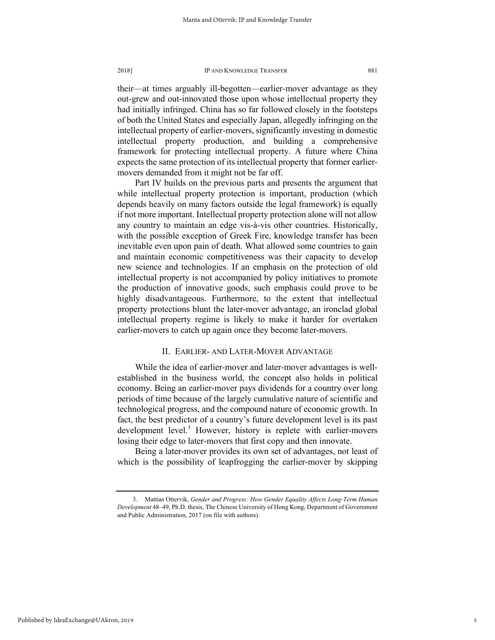their—at times arguably ill-begotten—earlier-mover advantage as they out-grew and out-innovated those upon whose intellectual property they had initially infringed. China has so far followed closely in the footsteps of both the United States and especially Japan, allegedly infringing on the intellectual property of earlier-movers, significantly investing in domestic intellectual property production, and building a comprehensive framework for protecting intellectual property. A future where China expects the same protection of its intellectual property that former earliermovers demanded from it might not be far off.

Part IV builds on the previous parts and presents the argument that while intellectual property protection is important, production (which depends heavily on many factors outside the legal framework) is equally if not more important. Intellectual property protection alone will not allow any country to maintain an edge vis-à-vis other countries. Historically, with the possible exception of Greek Fire, knowledge transfer has been inevitable even upon pain of death. What allowed some countries to gain and maintain economic competitiveness was their capacity to develop new science and technologies. If an emphasis on the protection of old intellectual property is not accompanied by policy initiatives to promote the production of innovative goods, such emphasis could prove to be highly disadvantageous. Furthermore, to the extent that intellectual property protections blunt the later-mover advantage, an ironclad global intellectual property regime is likely to make it harder for overtaken earlier-movers to catch up again once they become later-movers.

# II. EARLIER- AND LATER-MOVER ADVANTAGE

While the idea of earlier-mover and later-mover advantages is wellestablished in the business world, the concept also holds in political economy. Being an earlier-mover pays dividends for a country over long periods of time because of the largely cumulative nature of scientific and technological progress, and the compound nature of economic growth. In fact, the best predictor of a country's future development level is its past development level.<sup>3</sup> However, history is replete with earlier-movers losing their edge to later-movers that first copy and then innovate.

Being a later-mover provides its own set of advantages, not least of which is the possibility of leapfrogging the earlier-mover by skipping

<sup>3.</sup> Mattias Ottervik, *Gender and Progress: How Gender Equality Affects Long-Term Human Development* 48–49, Ph.D. thesis, The Chinese University of Hong Kong, Department of Government and Public Administration, 2017 (on file with authors).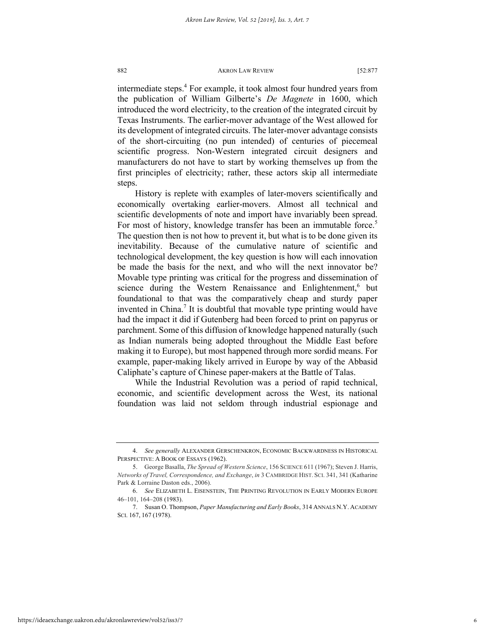intermediate steps.<sup>4</sup> For example, it took almost four hundred years from the publication of William Gilberte's *De Magnete* in 1600, which introduced the word electricity, to the creation of the integrated circuit by Texas Instruments. The earlier-mover advantage of the West allowed for its development of integrated circuits. The later-mover advantage consists of the short-circuiting (no pun intended) of centuries of piecemeal scientific progress. Non-Western integrated circuit designers and manufacturers do not have to start by working themselves up from the first principles of electricity; rather, these actors skip all intermediate steps.

History is replete with examples of later-movers scientifically and economically overtaking earlier-movers. Almost all technical and scientific developments of note and import have invariably been spread. For most of history, knowledge transfer has been an immutable force.<sup>5</sup> The question then is not how to prevent it, but what is to be done given its inevitability. Because of the cumulative nature of scientific and technological development, the key question is how will each innovation be made the basis for the next, and who will the next innovator be? Movable type printing was critical for the progress and dissemination of science during the Western Renaissance and Enlightenment,<sup>6</sup> but foundational to that was the comparatively cheap and sturdy paper invented in China.<sup>7</sup> It is doubtful that movable type printing would have had the impact it did if Gutenberg had been forced to print on papyrus or parchment. Some of this diffusion of knowledge happened naturally (such as Indian numerals being adopted throughout the Middle East before making it to Europe), but most happened through more sordid means. For example, paper-making likely arrived in Europe by way of the Abbasid Caliphate's capture of Chinese paper-makers at the Battle of Talas.

While the Industrial Revolution was a period of rapid technical, economic, and scientific development across the West, its national foundation was laid not seldom through industrial espionage and

<sup>4.</sup> *See generally* ALEXANDER GERSCHENKRON, ECONOMIC BACKWARDNESS IN HISTORICAL PERSPECTIVE: A BOOK OF ESSAYS (1962).

<sup>5.</sup> George Basalla, *The Spread of Western Science*, 156 SCIENCE 611 (1967); Steven J. Harris, *Networks of Travel, Correspondence, and Exchange*, *in* 3 CAMBRIDGE HIST. SCI. 341, 341 (Katharine Park & Lorraine Daston eds., 2006).

<sup>6.</sup> *See* ELIZABETH L. EISENSTEIN, THE PRINTING REVOLUTION IN EARLY MODERN EUROPE 46–101, 164–208 (1983).

<sup>7.</sup> Susan O. Thompson, *Paper Manufacturing and Early Books*, 314 ANNALS N.Y. ACADEMY SCI. 167, 167 (1978).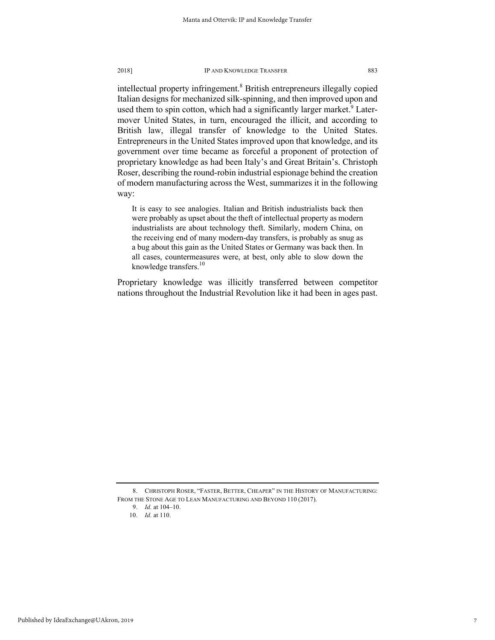intellectual property infringement.<sup>8</sup> British entrepreneurs illegally copied Italian designs for mechanized silk-spinning, and then improved upon and used them to spin cotton, which had a significantly larger market.<sup>9</sup> Latermover United States, in turn, encouraged the illicit, and according to British law, illegal transfer of knowledge to the United States. Entrepreneurs in the United States improved upon that knowledge, and its government over time became as forceful a proponent of protection of proprietary knowledge as had been Italy's and Great Britain's. Christoph Roser, describing the round-robin industrial espionage behind the creation of modern manufacturing across the West, summarizes it in the following way:

It is easy to see analogies. Italian and British industrialists back then were probably as upset about the theft of intellectual property as modern industrialists are about technology theft. Similarly, modern China, on the receiving end of many modern-day transfers, is probably as snug as a bug about this gain as the United States or Germany was back then. In all cases, countermeasures were, at best, only able to slow down the knowledge transfers.<sup>10</sup>

Proprietary knowledge was illicitly transferred between competitor nations throughout the Industrial Revolution like it had been in ages past.

<sup>8.</sup> CHRISTOPH ROSER, "FASTER, BETTER, CHEAPER" IN THE HISTORY OF MANUFACTURING: FROM THE STONE AGE TO LEAN MANUFACTURING AND BEYOND 110 (2017).

<sup>9.</sup> *Id.* at 104–10.

<sup>10.</sup> *Id.* at 110.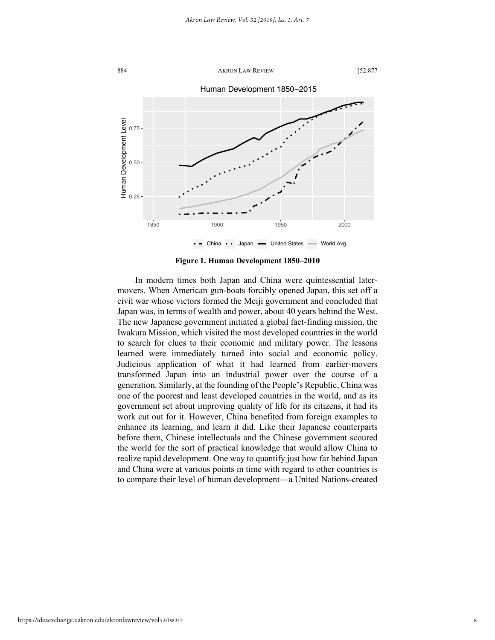

**Figure 1. Human Development 1850**–**2010**

In modern times both Japan and China were quintessential latermovers. When American gun-boats forcibly opened Japan, this set off a civil war whose victors formed the Meiji government and concluded that Japan was, in terms of wealth and power, about 40 years behind the West. The new Japanese government initiated a global fact-finding mission, the Iwakura Mission, which visited the most developed countries in the world to search for clues to their economic and military power. The lessons learned were immediately turned into social and economic policy. Judicious application of what it had learned from earlier-movers transformed Japan into an industrial power over the course of a generation. Similarly, at the founding of the People's Republic, China was one of the poorest and least developed countries in the world, and as its government set about improving quality of life for its citizens, it had its work cut out for it. However, China benefited from foreign examples to enhance its learning, and learn it did. Like their Japanese counterparts before them, Chinese intellectuals and the Chinese government scoured the world for the sort of practical knowledge that would allow China to realize rapid development. One way to quantify just how far behind Japan and China were at various points in time with regard to other countries is to compare their level of human development—a United Nations-created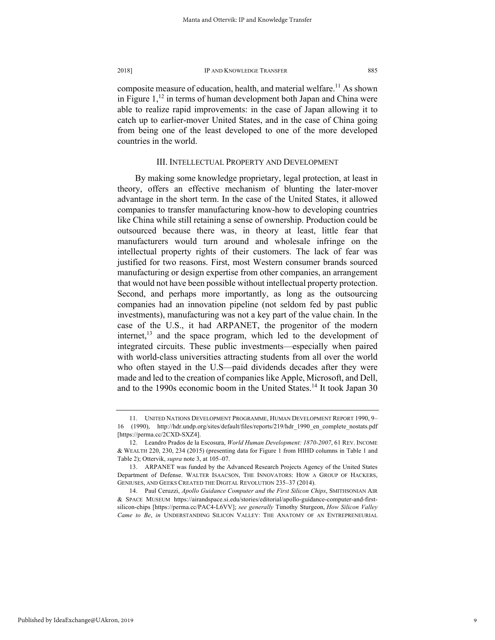composite measure of education, health, and material welfare.<sup>11</sup> As shown in Figure  $1<sup>12</sup>$  in terms of human development both Japan and China were able to realize rapid improvements: in the case of Japan allowing it to catch up to earlier-mover United States, and in the case of China going from being one of the least developed to one of the more developed countries in the world.

#### III. INTELLECTUAL PROPERTY AND DEVELOPMENT

By making some knowledge proprietary, legal protection, at least in theory, offers an effective mechanism of blunting the later-mover advantage in the short term. In the case of the United States, it allowed companies to transfer manufacturing know-how to developing countries like China while still retaining a sense of ownership. Production could be outsourced because there was, in theory at least, little fear that manufacturers would turn around and wholesale infringe on the intellectual property rights of their customers. The lack of fear was justified for two reasons. First, most Western consumer brands sourced manufacturing or design expertise from other companies, an arrangement that would not have been possible without intellectual property protection. Second, and perhaps more importantly, as long as the outsourcing companies had an innovation pipeline (not seldom fed by past public investments), manufacturing was not a key part of the value chain. In the case of the U.S., it had ARPANET, the progenitor of the modern internet, $^{13}$  and the space program, which led to the development of integrated circuits. These public investments—especially when paired with world-class universities attracting students from all over the world who often stayed in the U.S—paid dividends decades after they were made and led to the creation of companies like Apple, Microsoft, and Dell, and to the 1990s economic boom in the United States.<sup>14</sup> It took Japan 30

Published by IdeaExchange@UAkron, 2019

<sup>11.</sup> UNITED NATIONS DEVELOPMENT PROGRAMME, HUMAN DEVELOPMENT REPORT 1990, 9– 16 (1990), http://hdr.undp.org/sites/default/files/reports/219/hdr\_1990\_en\_complete\_nostats.pdf [https://perma.cc/2CXD-SXZ4].

<sup>12.</sup> Leandro Prados de la Escosura, *World Human Development: 1870-2007*, 61 REV. INCOME & WEALTH 220, 230, 234 (2015) (presenting data for Figure 1 from HIHD columns in Table 1 and Table 2); Ottervik, *supra* note 3, at 105–07.

<sup>13.</sup> ARPANET was funded by the Advanced Research Projects Agency of the United States Department of Defense. WALTER ISAACSON, THE INNOVATORS: HOW A GROUP OF HACKERS, GENIUSES, AND GEEKS CREATED THE DIGITAL REVOLUTION 235–37 (2014).

<sup>14.</sup> Paul Ceruzzi, *Apollo Guidance Computer and the First Silicon Chips*, SMITHSONIAN AIR & SPACE MUSEUM https://airandspace.si.edu/stories/editorial/apollo-guidance-computer-and-firstsilicon-chips [https://perma.cc/PAC4-L6VV]; *see generally* Timothy Sturgeon, *How Silicon Valley Came to Be*, *in* UNDERSTANDING SILICON VALLEY: THE ANATOMY OF AN ENTREPRENEURIAL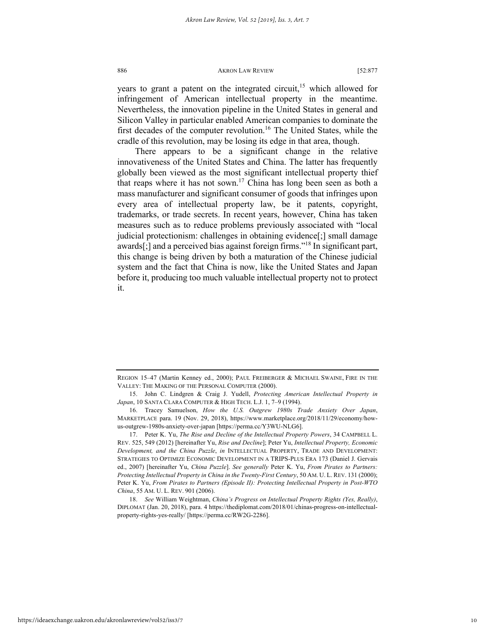years to grant a patent on the integrated circuit,<sup>15</sup> which allowed for infringement of American intellectual property in the meantime. Nevertheless, the innovation pipeline in the United States in general and Silicon Valley in particular enabled American companies to dominate the first decades of the computer revolution.<sup>16</sup> The United States, while the cradle of this revolution, may be losing its edge in that area, though.

There appears to be a significant change in the relative innovativeness of the United States and China. The latter has frequently globally been viewed as the most significant intellectual property thief that reaps where it has not sown.17 China has long been seen as both a mass manufacturer and significant consumer of goods that infringes upon every area of intellectual property law, be it patents, copyright, trademarks, or trade secrets. In recent years, however, China has taken measures such as to reduce problems previously associated with "local judicial protectionism: challenges in obtaining evidence[;] small damage awards[;] and a perceived bias against foreign firms."18 In significant part, this change is being driven by both a maturation of the Chinese judicial system and the fact that China is now, like the United States and Japan before it, producing too much valuable intellectual property not to protect it.

REGION 15–47 (Martin Kenney ed., 2000); PAUL FREIBERGER & MICHAEL SWAINE, FIRE IN THE VALLEY: THE MAKING OF THE PERSONAL COMPUTER (2000).

<sup>15.</sup> John C. Lindgren & Craig J. Yudell, *Protecting American Intellectual Property in Japan*, 10 SANTA CLARA COMPUTER & HIGH TECH. L.J. 1, 7–9 (1994).

<sup>16.</sup> Tracey Samuelson, *How the U.S. Outgrew 1980s Trade Anxiety Over Japan*, MARKETPLACE para. 19 (Nov. 29, 2018), https://www.marketplace.org/2018/11/29/economy/howus-outgrew-1980s-anxiety-over-japan [https://perma.cc/Y3WU-NLG6].

<sup>17.</sup> Peter K. Yu, *The Rise and Decline of the Intellectual Property Powers*, 34 CAMPBELL L. REV. 525, 549 (2012) [hereinafter Yu, *Rise and Decline*]; Peter Yu, *Intellectual Property, Economic Development, and the China Puzzle*, *in* INTELLECTUAL PROPERTY, TRADE AND DEVELOPMENT: STRATEGIES TO OPTIMIZE ECONOMIC DEVELOPMENT IN A TRIPS-PLUS ERA 173 (Daniel J. Gervais ed., 2007) [hereinafter Yu, *China Puzzle*]. *See generally* Peter K. Yu, *From Pirates to Partners: Protecting Intellectual Property in China in the Twenty-First Century*, 50 AM. U. L. REV. 131 (2000); Peter K. Yu, *From Pirates to Partners (Episode II): Protecting Intellectual Property in Post-WTO China*, 55 AM. U. L. REV. 901 (2006).

<sup>18.</sup> *See* William Weightman, *China's Progress on Intellectual Property Rights (Yes, Really)*, DIPLOMAT (Jan. 20, 2018), para. 4 https://thediplomat.com/2018/01/chinas-progress-on-intellectualproperty-rights-yes-really/ [https://perma.cc/RW2G-2286].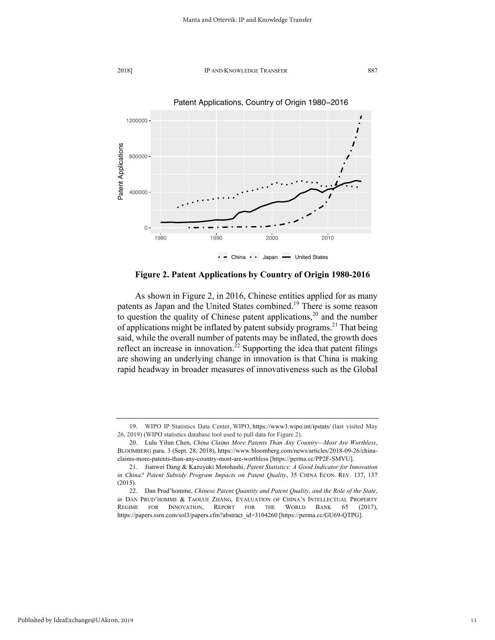



**Figure 2. Patent Applications by Country of Origin 1980-2016**

As shown in Figure 2, in 2016, Chinese entities applied for as many patents as Japan and the United States combined.<sup>19</sup> There is some reason to question the quality of Chinese patent applications, $2^0$  and the number of applications might be inflated by patent subsidy programs.<sup>21</sup> That being said, while the overall number of patents may be inflated, the growth does reflect an increase in innovation.<sup>22</sup> Supporting the idea that patent filings are showing an underlying change in innovation is that China is making rapid headway in broader measures of innovativeness such as the Global

<sup>19.</sup> WIPO IP Statistics Data Center, WIPO, https://www3.wipo.int/ipstats/ (last visited May 26, 2019) (WIPO statistics database tool used to pull data for Figure 2).

<sup>20.</sup> Lulu Yilun Chen, *China Claims More Patents Than Any Country—Most Are Worthless*, BLOOMBERG para. 3 (Sept. 28, 2018), https://www.bloomberg.com/news/articles/2018-09-26/chinaclaims-more-patents-than-any-country-most-are-worthless [https://perma.cc/PP2F-SMVU].

<sup>21.</sup> Jianwei Dang & Kazuyuki Motohashi, *Patent Statistics: A Good Indicator for Innovation in China? Patent Subsidy Program Impacts on Patent Quality*, 35 CHINA ECON. REV. 137, 137 (2015).

<sup>22.</sup> Dan Prud'homme, *Chinese Patent Quantity and Patent Quality, and the Role of the State*, *in* DAN PRUD'HOMME & TAOLUE ZHANG, EVALUATION OF CHINA'S INTELLECTUAL PROPERTY REGIME FOR INNOVATION, REPORT FOR THE WORLD BANK 65 (2017), https://papers.ssrn.com/sol3/papers.cfm?abstract\_id=3104260 [https://perma.cc/GU69-QTPG].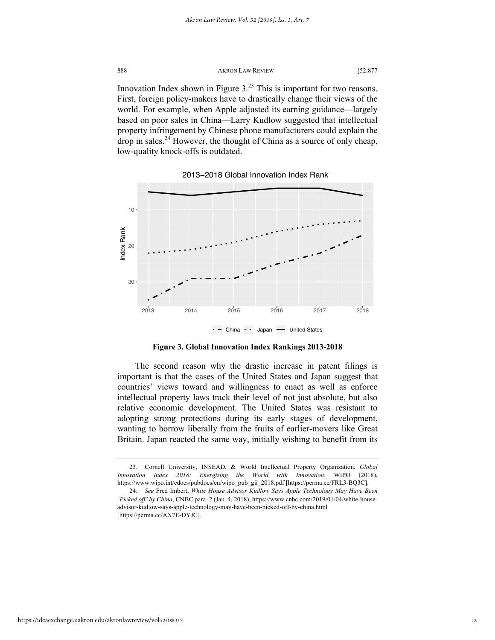888 AKRON LAW REVIEW [52:877] Innovation Index shown in Figure  $3^{23}$  This is important for two reasons. First, foreign policy-makers have to drastically change their views of the world. For example, when Apple adjusted its earning guidance—largely based on poor sales in China—Larry Kudlow suggested that intellectual property infringement by Chinese phone manufacturers could explain the drop in sales.<sup>24</sup> However, the thought of China as a source of only cheap, low-quality knock-offs is outdated.



2013−2018 Global Innovation Index Rank

**Figure 3. Global Innovation Index Rankings 2013-2018**

The second reason why the drastic increase in patent filings is important is that the cases of the United States and Japan suggest that countries' views toward and willingness to enact as well as enforce intellectual property laws track their level of not just absolute, but also relative economic development. The United States was resistant to adopting strong protections during its early stages of development, wanting to borrow liberally from the fruits of earlier-movers like Great Britain. Japan reacted the same way, initially wishing to benefit from its

<sup>23.</sup> Cornell University, INSEAD, & World Intellectual Property Organization, *Global Innovation Index 2018: Energizing the World with Innovation*, WIPO (2018), https://www.wipo.int/edocs/pubdocs/en/wipo\_pub\_gii\_2018.pdf [https://perma.cc/FRL3-BQ3C].

<sup>24.</sup> *See* Fred Imbert, *White House Advisor Kudlow Says Apple Technology May Have Been 'Picked off' by China*, CNBC para. 2 (Jan. 4, 2018), https://www.cnbc.com/2019/01/04/white-houseadvisor-kudlow-says-apple-technology-may-have-been-picked-off-by-china.html [https://perma.cc/AX7E-DYJC].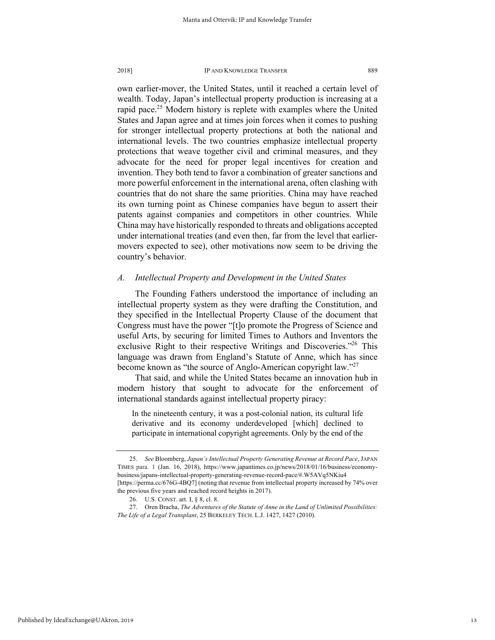own earlier-mover, the United States, until it reached a certain level of wealth. Today, Japan's intellectual property production is increasing at a rapid pace.<sup>25</sup> Modern history is replete with examples where the United States and Japan agree and at times join forces when it comes to pushing for stronger intellectual property protections at both the national and international levels. The two countries emphasize intellectual property protections that weave together civil and criminal measures, and they advocate for the need for proper legal incentives for creation and invention. They both tend to favor a combination of greater sanctions and more powerful enforcement in the international arena, often clashing with countries that do not share the same priorities. China may have reached its own turning point as Chinese companies have begun to assert their patents against companies and competitors in other countries. While China may have historically responded to threats and obligations accepted under international treaties (and even then, far from the level that earliermovers expected to see), other motivations now seem to be driving the country's behavior.

# *A. Intellectual Property and Development in the United States*

The Founding Fathers understood the importance of including an intellectual property system as they were drafting the Constitution, and they specified in the Intellectual Property Clause of the document that Congress must have the power "[t]o promote the Progress of Science and useful Arts, by securing for limited Times to Authors and Inventors the exclusive Right to their respective Writings and Discoveries."<sup>26</sup> This language was drawn from England's Statute of Anne, which has since become known as "the source of Anglo-American copyright law."<sup>27</sup>

That said, and while the United States became an innovation hub in modern history that sought to advocate for the enforcement of international standards against intellectual property piracy:

In the nineteenth century, it was a post-colonial nation, its cultural life derivative and its economy underdeveloped [which] declined to participate in international copyright agreements. Only by the end of the

<sup>25.</sup> *See* Bloomberg, *Japan's Intellectual Property Generating Revenue at Record Pace*, JAPAN TIMES para. 1 (Jan. 16, 2018), https://www.japantimes.co.jp/news/2018/01/16/business/economybusiness/japans-intellectual-property-generating-revenue-record-pace/#.W5AVq5NKiu4 [https://perma.cc/676G-4BQ7] (noting that revenue from intellectual property increased by 74% over the previous five years and reached record heights in 2017).

<sup>26.</sup> U.S. CONST. art. I, § 8, cl. 8.

<sup>27.</sup> Oren Bracha, *The Adventures of the Statute of Anne in the Land of Unlimited Possibilities: The Life of a Legal Transplant*, 25 BERKELEY TECH. L.J. 1427, 1427 (2010).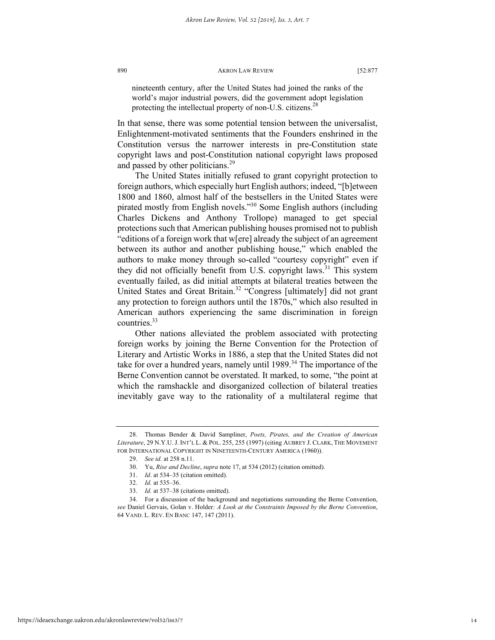nineteenth century, after the United States had joined the ranks of the world's major industrial powers, did the government adopt legislation protecting the intellectual property of non-U.S. citizens.<sup>28</sup>

In that sense, there was some potential tension between the universalist, Enlightenment-motivated sentiments that the Founders enshrined in the Constitution versus the narrower interests in pre-Constitution state copyright laws and post-Constitution national copyright laws proposed and passed by other politicians.<sup>29</sup>

The United States initially refused to grant copyright protection to foreign authors, which especially hurt English authors; indeed, "[b]etween 1800 and 1860, almost half of the bestsellers in the United States were pirated mostly from English novels."30 Some English authors (including Charles Dickens and Anthony Trollope) managed to get special protections such that American publishing houses promised not to publish "editions of a foreign work that w[ere] already the subject of an agreement between its author and another publishing house," which enabled the authors to make money through so-called "courtesy copyright" even if they did not officially benefit from U.S. copyright laws.<sup>31</sup> This system eventually failed, as did initial attempts at bilateral treaties between the United States and Great Britain.<sup>32</sup> "Congress [ultimately] did not grant any protection to foreign authors until the 1870s," which also resulted in American authors experiencing the same discrimination in foreign countries.33

Other nations alleviated the problem associated with protecting foreign works by joining the Berne Convention for the Protection of Literary and Artistic Works in 1886, a step that the United States did not take for over a hundred years, namely until  $1989$ .<sup>34</sup> The importance of the Berne Convention cannot be overstated. It marked, to some, "the point at which the ramshackle and disorganized collection of bilateral treaties inevitably gave way to the rationality of a multilateral regime that

<sup>28.</sup> Thomas Bender & David Sampliner, *Poets, Pirates, and the Creation of American Literature*, 29 N.Y.U.J. INT'L L. & POL. 255, 255 (1997) (citing AUBREY J. CLARK, THE MOVEMENT FOR INTERNATIONAL COPYRIGHT IN NINETEENTH-CENTURY AMERICA (1960)).

<sup>29.</sup> *See id.* at 258 n.11.

<sup>30.</sup> Yu, *Rise and Decline*, *supra* note 17, at 534 (2012) (citation omitted).

<sup>31.</sup> *Id*. at 534–35 (citation omitted).

<sup>32.</sup> *Id.* at 535–36.

<sup>33.</sup> *Id.* at 537–38 (citations omitted).

<sup>34.</sup> For a discussion of the background and negotiations surrounding the Berne Convention, *see* Daniel Gervais, Golan v. Holder*: A Look at the Constraints Imposed by the Berne Convention*, 64 VAND. L. REV. EN BANC 147, 147 (2011).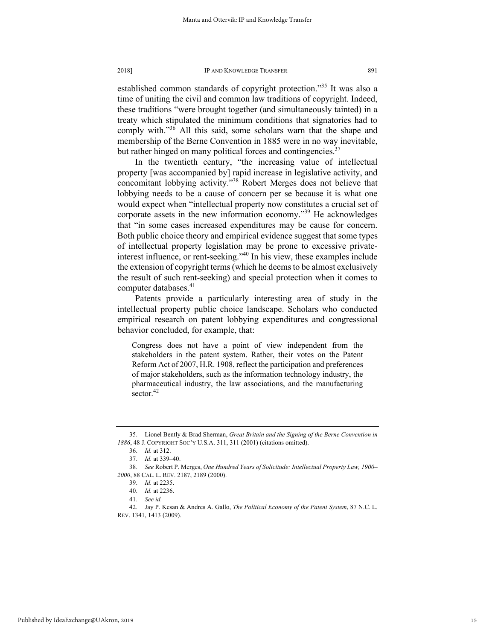established common standards of copyright protection."<sup>35</sup> It was also a time of uniting the civil and common law traditions of copyright. Indeed, these traditions "were brought together (and simultaneously tainted) in a treaty which stipulated the minimum conditions that signatories had to comply with. $136$  All this said, some scholars warn that the shape and membership of the Berne Convention in 1885 were in no way inevitable, but rather hinged on many political forces and contingencies.<sup>37</sup>

In the twentieth century, "the increasing value of intellectual property [was accompanied by] rapid increase in legislative activity, and concomitant lobbying activity."<sup>38</sup> Robert Merges does not believe that lobbying needs to be a cause of concern per se because it is what one would expect when "intellectual property now constitutes a crucial set of corporate assets in the new information economy."39 He acknowledges that "in some cases increased expenditures may be cause for concern. Both public choice theory and empirical evidence suggest that some types of intellectual property legislation may be prone to excessive privateinterest influence, or rent-seeking."<sup>40</sup> In his view, these examples include the extension of copyright terms (which he deems to be almost exclusively the result of such rent-seeking) and special protection when it comes to computer databases.<sup>41</sup>

Patents provide a particularly interesting area of study in the intellectual property public choice landscape. Scholars who conducted empirical research on patent lobbying expenditures and congressional behavior concluded, for example, that:

Congress does not have a point of view independent from the stakeholders in the patent system. Rather, their votes on the Patent Reform Act of 2007, H.R. 1908, reflect the participation and preferences of major stakeholders, such as the information technology industry, the pharmaceutical industry, the law associations, and the manufacturing sector. $42$ 

<sup>35.</sup> Lionel Bently & Brad Sherman, *Great Britain and the Signing of the Berne Convention in 1886*, 48 J. COPYRIGHT SOC'Y U.S.A. 311, 311 (2001) (citations omitted).

<sup>36.</sup> *Id.* at 312.

<sup>37.</sup> *Id.* at 339–40.

<sup>38.</sup> *See* Robert P. Merges, *One Hundred Years of Solicitude: Intellectual Property Law, 1900*– *2000*, 88 CAL. L. REV. 2187, 2189 (2000).

<sup>39.</sup> *Id.* at 2235.

<sup>40.</sup> *Id.* at 2236.

<sup>41.</sup> *See id.*

<sup>42.</sup> Jay P. Kesan & Andres A. Gallo, *The Political Economy of the Patent System*, 87 N.C. L. REV. 1341, 1413 (2009).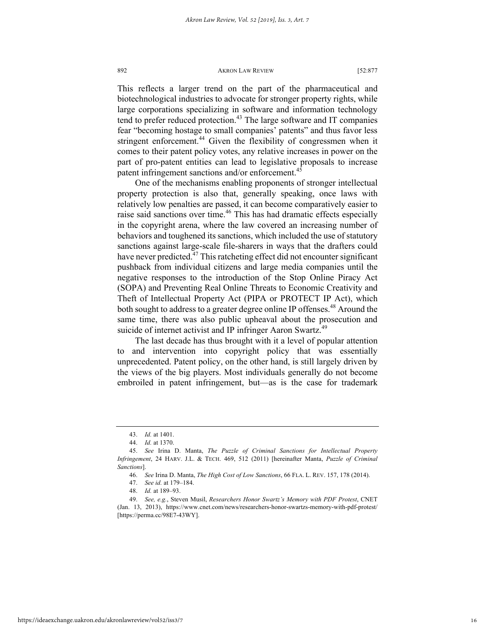This reflects a larger trend on the part of the pharmaceutical and biotechnological industries to advocate for stronger property rights, while large corporations specializing in software and information technology tend to prefer reduced protection.<sup>43</sup> The large software and IT companies fear "becoming hostage to small companies' patents" and thus favor less stringent enforcement.<sup>44</sup> Given the flexibility of congressmen when it comes to their patent policy votes, any relative increases in power on the part of pro-patent entities can lead to legislative proposals to increase patent infringement sanctions and/or enforcement.<sup>45</sup>

One of the mechanisms enabling proponents of stronger intellectual property protection is also that, generally speaking, once laws with relatively low penalties are passed, it can become comparatively easier to raise said sanctions over time.<sup>46</sup> This has had dramatic effects especially in the copyright arena, where the law covered an increasing number of behaviors and toughened its sanctions, which included the use of statutory sanctions against large-scale file-sharers in ways that the drafters could have never predicted.<sup>47</sup> This ratcheting effect did not encounter significant pushback from individual citizens and large media companies until the negative responses to the introduction of the Stop Online Piracy Act (SOPA) and Preventing Real Online Threats to Economic Creativity and Theft of Intellectual Property Act (PIPA or PROTECT IP Act), which both sought to address to a greater degree online IP offenses.<sup>48</sup> Around the same time, there was also public upheaval about the prosecution and suicide of internet activist and IP infringer Aaron Swartz.<sup>49</sup>

The last decade has thus brought with it a level of popular attention to and intervention into copyright policy that was essentially unprecedented. Patent policy, on the other hand, is still largely driven by the views of the big players. Most individuals generally do not become embroiled in patent infringement, but—as is the case for trademark

<sup>43.</sup> *Id.* at 1401.

<sup>44.</sup> *Id.* at 1370.

<sup>45.</sup> *See* Irina D. Manta, *The Puzzle of Criminal Sanctions for Intellectual Property Infringement*, 24 HARV. J.L. & TECH. 469, 512 (2011) [hereinafter Manta, *Puzzle of Criminal Sanctions*].

<sup>46.</sup> *See* Irina D. Manta, *The High Cost of Low Sanctions*, 66 FLA. L. REV. 157, 178 (2014).

<sup>47.</sup> *See id.* at 179–184.

<sup>48.</sup> *Id.* at 189–93.

<sup>49.</sup> *See, e.g.*, Steven Musil, *Researchers Honor Swartz's Memory with PDF Protest*, CNET (Jan. 13, 2013), https://www.cnet.com/news/researchers-honor-swartzs-memory-with-pdf-protest/ [https://perma.cc/98E7-43WY].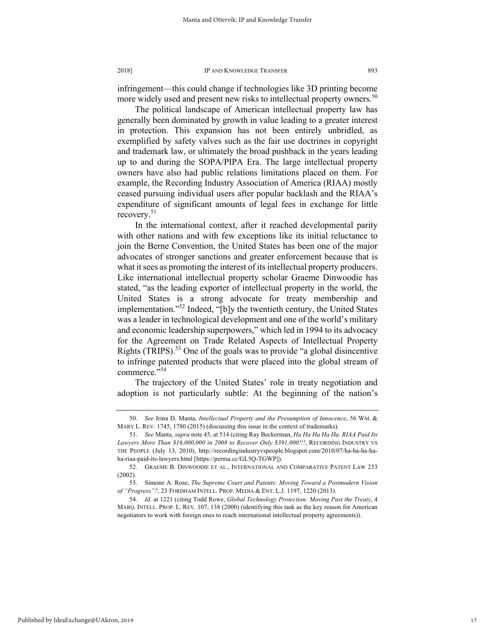infringement—this could change if technologies like 3D printing become more widely used and present new risks to intellectual property owners.<sup>50</sup>

The political landscape of American intellectual property law has generally been dominated by growth in value leading to a greater interest in protection. This expansion has not been entirely unbridled, as exemplified by safety valves such as the fair use doctrines in copyright and trademark law, or ultimately the broad pushback in the years leading up to and during the SOPA/PIPA Era. The large intellectual property owners have also had public relations limitations placed on them. For example, the Recording Industry Association of America (RIAA) mostly ceased pursuing individual users after popular backlash and the RIAA's expenditure of significant amounts of legal fees in exchange for little recovery.<sup>51</sup>

In the international context, after it reached developmental parity with other nations and with few exceptions like its initial reluctance to join the Berne Convention, the United States has been one of the major advocates of stronger sanctions and greater enforcement because that is what it sees as promoting the interest of its intellectual property producers. Like international intellectual property scholar Graeme Dinwoodie has stated, "as the leading exporter of intellectual property in the world, the United States is a strong advocate for treaty membership and implementation."52 Indeed, "[b]y the twentieth century, the United States was a leader in technological development and one of the world's military and economic leadership superpowers," which led in 1994 to its advocacy for the Agreement on Trade Related Aspects of Intellectual Property Rights (TRIPS).<sup>53</sup> One of the goals was to provide "a global disincentive to infringe patented products that were placed into the global stream of commerce."<sup>54</sup>

The trajectory of the United States' role in treaty negotiation and adoption is not particularly subtle: At the beginning of the nation's

<sup>50.</sup> *See* Irina D. Manta, *Intellectual Property and the Presumption of Innocence*, 56 WM. & MARY L. REV. 1745, 1780 (2015) (discussing this issue in the context of trademarks).

<sup>51.</sup> *See* Manta, *supra* note 45, at 514 (citing Ray Beckerman, *Ha Ha Ha Ha Ha. RIAA Paid Its Lawyers More Than \$16,000,000 in 2008 to Recover Only \$391,000!!!*, RECORDING INDUSTRY VS THE PEOPLE (July 13, 2010), http://recordingindustryvspeople.blogspot.com/2010/07/ha-ha-ha-haha-riaa-paid-its-lawyers.html [https://perma.cc/GL5Q-TGWP]).

<sup>52.</sup> GRAEME B. DINWOODIE ET AL., INTERNATIONAL AND COMPARATIVE PATENT LAW 233 (2002).

<sup>53.</sup> Simone A. Rose, *The Supreme Court and Patents: Moving Toward a Postmodern Vision of "Progress"?*, 23 FORDHAM INTELL. PROP. MEDIA & ENT. L.J. 1197, 1220 (2013).

<sup>54.</sup> *Id.* at 1221 (citing Todd Rowe, *Global Technology Protection: Moving Past the Treaty*, 4 MARQ. INTELL. PROP. L. REV. 107, 138 (2000) (identifying this task as the key reason for American negotiators to work with foreign ones to reach international intellectual property agreements)).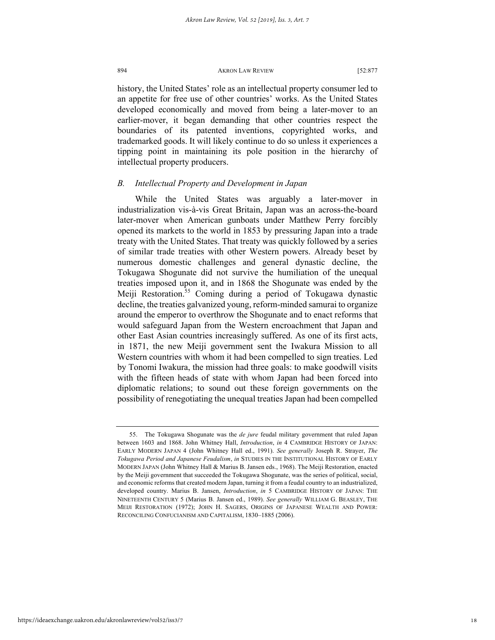history, the United States' role as an intellectual property consumer led to an appetite for free use of other countries' works. As the United States developed economically and moved from being a later-mover to an earlier-mover, it began demanding that other countries respect the boundaries of its patented inventions, copyrighted works, and trademarked goods. It will likely continue to do so unless it experiences a tipping point in maintaining its pole position in the hierarchy of intellectual property producers.

### *B. Intellectual Property and Development in Japan*

While the United States was arguably a later-mover in industrialization vis-à-vis Great Britain, Japan was an across-the-board later-mover when American gunboats under Matthew Perry forcibly opened its markets to the world in 1853 by pressuring Japan into a trade treaty with the United States. That treaty was quickly followed by a series of similar trade treaties with other Western powers. Already beset by numerous domestic challenges and general dynastic decline, the Tokugawa Shogunate did not survive the humiliation of the unequal treaties imposed upon it, and in 1868 the Shogunate was ended by the Meiji Restoration.<sup>55</sup> Coming during a period of Tokugawa dynastic decline, the treaties galvanized young, reform-minded samurai to organize around the emperor to overthrow the Shogunate and to enact reforms that would safeguard Japan from the Western encroachment that Japan and other East Asian countries increasingly suffered. As one of its first acts, in 1871, the new Meiji government sent the Iwakura Mission to all Western countries with whom it had been compelled to sign treaties. Led by Tonomi Iwakura, the mission had three goals: to make goodwill visits with the fifteen heads of state with whom Japan had been forced into diplomatic relations; to sound out these foreign governments on the possibility of renegotiating the unequal treaties Japan had been compelled

<sup>55.</sup> The Tokugawa Shogunate was the *de jure* feudal military government that ruled Japan between 1603 and 1868. John Whitney Hall, *Introduction*, *in* 4 CAMBRIDGE HISTORY OF JAPAN: EARLY MODERN JAPAN 4 (John Whitney Hall ed., 1991). *See generally* Joseph R. Strayer, *The Tokugawa Period and Japanese Feudalism*, *in* STUDIES IN THE INSTITUTIONAL HISTORY OF EARLY MODERN JAPAN (John Whitney Hall & Marius B. Jansen eds., 1968). The Meiji Restoration, enacted by the Meiji government that succeeded the Tokugawa Shogunate, was the series of political, social, and economic reforms that created modern Japan, turning it from a feudal country to an industrialized, developed country. Marius B. Jansen, *Introduction*, *in* 5 CAMBRIDGE HISTORY OF JAPAN: THE NINETEENTH CENTURY 5 (Marius B. Jansen ed., 1989). *See generally* WILLIAM G. BEASLEY, THE MEIJI RESTORATION (1972); JOHN H. SAGERS, ORIGINS OF JAPANESE WEALTH AND POWER: RECONCILING CONFUCIANISM AND CAPITALISM, 1830–1885 (2006).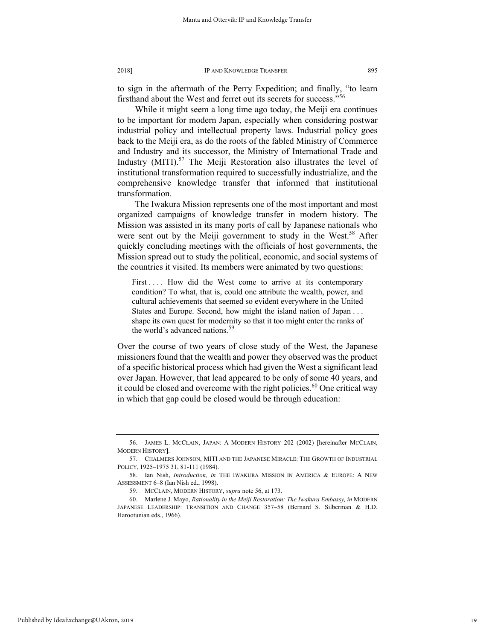to sign in the aftermath of the Perry Expedition; and finally, "to learn firsthand about the West and ferret out its secrets for success."<sup>56</sup>

While it might seem a long time ago today, the Meiji era continues to be important for modern Japan, especially when considering postwar industrial policy and intellectual property laws. Industrial policy goes back to the Meiji era, as do the roots of the fabled Ministry of Commerce and Industry and its successor, the Ministry of International Trade and Industry (MITI).<sup>57</sup> The Meiji Restoration also illustrates the level of institutional transformation required to successfully industrialize, and the comprehensive knowledge transfer that informed that institutional transformation.

The Iwakura Mission represents one of the most important and most organized campaigns of knowledge transfer in modern history. The Mission was assisted in its many ports of call by Japanese nationals who were sent out by the Meiji government to study in the West.<sup>58</sup> After quickly concluding meetings with the officials of host governments, the Mission spread out to study the political, economic, and social systems of the countries it visited. Its members were animated by two questions:

First .... How did the West come to arrive at its contemporary condition? To what, that is, could one attribute the wealth, power, and cultural achievements that seemed so evident everywhere in the United States and Europe. Second, how might the island nation of Japan . . . shape its own quest for modernity so that it too might enter the ranks of the world's advanced nations.<sup>59</sup>

Over the course of two years of close study of the West, the Japanese missioners found that the wealth and power they observed was the product of a specific historical process which had given the West a significant lead over Japan. However, that lead appeared to be only of some 40 years, and it could be closed and overcome with the right policies.<sup>60</sup> One critical way in which that gap could be closed would be through education:

<sup>56.</sup> JAMES L. MCCLAIN, JAPAN: A MODERN HISTORY 202 (2002) [hereinafter MCCLAIN, MODERN HISTORY].

<sup>57.</sup> CHALMERS JOHNSON, MITI AND THE JAPANESE MIRACLE: THE GROWTH OF INDUSTRIAL POLICY, 1925–1975 31, 81-111 (1984).

<sup>58.</sup> Ian Nish, *Introduction, in* THE IWAKURA MISSION IN AMERICA & EUROPE: A NEW ASSESSMENT 6–8 (Ian Nish ed., 1998).

<sup>59.</sup> MCCLAIN, MODERN HISTORY, *supra* note 56, at 173.

<sup>60.</sup> Marlene J. Mayo, *Rationality in the Meiji Restoration: The Iwakura Embassy, in* MODERN JAPANESE LEADERSHIP: TRANSITION AND CHANGE 357–58 (Bernard S. Silberman & H.D. Harootunian eds., 1966).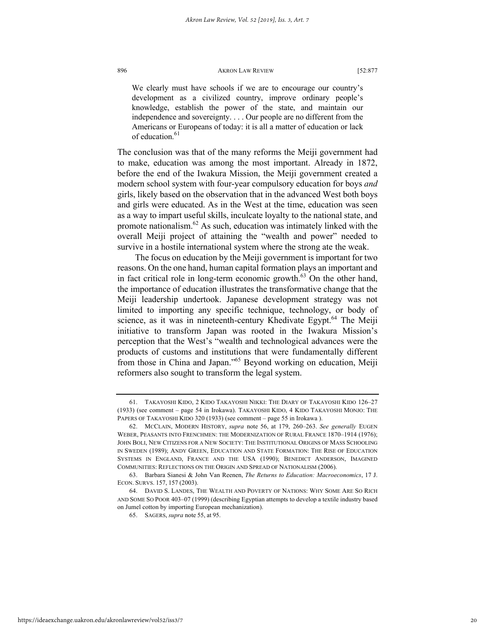We clearly must have schools if we are to encourage our country's development as a civilized country, improve ordinary people's knowledge, establish the power of the state, and maintain our independence and sovereignty. . . . Our people are no different from the Americans or Europeans of today: it is all a matter of education or lack of education.<sup>61</sup>

The conclusion was that of the many reforms the Meiji government had to make, education was among the most important. Already in 1872, before the end of the Iwakura Mission, the Meiji government created a modern school system with four-year compulsory education for boys *and* girls, likely based on the observation that in the advanced West both boys and girls were educated. As in the West at the time, education was seen as a way to impart useful skills, inculcate loyalty to the national state, and promote nationalism. $62$  As such, education was intimately linked with the overall Meiji project of attaining the "wealth and power" needed to survive in a hostile international system where the strong ate the weak.

The focus on education by the Meiji government is important for two reasons. On the one hand, human capital formation plays an important and in fact critical role in long-term economic growth. $^{63}$  On the other hand, the importance of education illustrates the transformative change that the Meiji leadership undertook. Japanese development strategy was not limited to importing any specific technique, technology, or body of science, as it was in nineteenth-century Khedivate Egypt.<sup>64</sup> The Meiji initiative to transform Japan was rooted in the Iwakura Mission's perception that the West's "wealth and technological advances were the products of customs and institutions that were fundamentally different from those in China and Japan."65 Beyond working on education, Meiji reformers also sought to transform the legal system.

<sup>61.</sup> TAKAYOSHI KIDO, 2 KIDO TAKAYOSHI NIKKI: THE DIARY OF TAKAYOSHI KIDO 126–27 (1933) (see comment – page 54 in Irokawa). TAKAYOSHI KIDO, 4 KIDO TAKAYOSHI MONJO: THE PAPERS OF TAKAYOSHI KIDO 320 (1933) (see comment – page 55 in Irokawa).

<sup>62.</sup> MCCLAIN, MODERN HISTORY, *supra* note 56, at 179, 260–263. *See generally* EUGEN WEBER, PEASANTS INTO FRENCHMEN: THE MODERNIZATION OF RURAL FRANCE 1870–1914 (1976); JOHN BOLI, NEW CITIZENS FOR A NEW SOCIETY: THE INSTITUTIONAL ORIGINS OF MASS SCHOOLING IN SWEDEN (1989); ANDY GREEN, EDUCATION AND STATE FORMATION: THE RISE OF EDUCATION SYSTEMS IN ENGLAND, FRANCE AND THE USA (1990); BENEDICT ANDERSON, IMAGINED COMMUNITIES: REFLECTIONS ON THE ORIGIN AND SPREAD OF NATIONALISM (2006).

<sup>63.</sup> Barbara Sianesi & John Van Reenen, *The Returns to Education: Macroeconomics*, 17 J. ECON. SURVS. 157, 157 (2003).

<sup>64.</sup> DAVID S. LANDES, THE WEALTH AND POVERTY OF NATIONS: WHY SOME ARE SO RICH AND SOME SO POOR 403–07 (1999) (describing Egyptian attempts to develop a textile industry based on Jumel cotton by importing European mechanization).

<sup>65.</sup> SAGERS, *supra* note 55, at 95.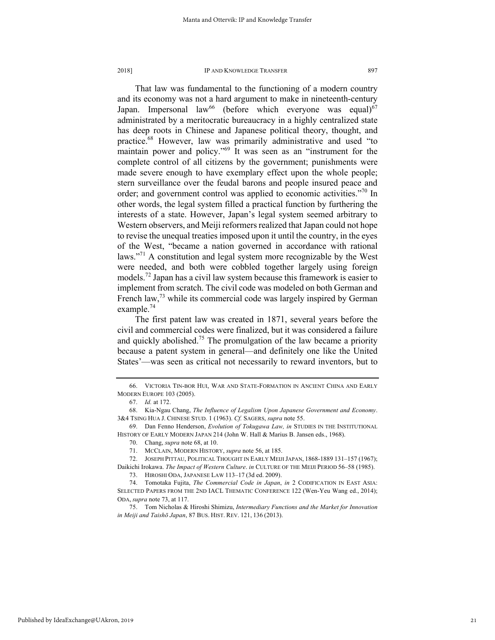That law was fundamental to the functioning of a modern country and its economy was not a hard argument to make in nineteenth-century Japan. Impersonal law<sup>66</sup> (before which everyone was equal)<sup>67</sup> administrated by a meritocratic bureaucracy in a highly centralized state has deep roots in Chinese and Japanese political theory, thought, and practice.68 However, law was primarily administrative and used "to maintain power and policy."<sup>69</sup> It was seen as an "instrument for the complete control of all citizens by the government; punishments were made severe enough to have exemplary effect upon the whole people; stern surveillance over the feudal barons and people insured peace and order; and government control was applied to economic activities."70 In other words, the legal system filled a practical function by furthering the interests of a state. However, Japan's legal system seemed arbitrary to

Western observers, and Meiji reformers realized that Japan could not hope to revise the unequal treaties imposed upon it until the country, in the eyes of the West, "became a nation governed in accordance with rational laws."<sup>71</sup> A constitution and legal system more recognizable by the West were needed, and both were cobbled together largely using foreign models.<sup>72</sup> Japan has a civil law system because this framework is easier to implement from scratch. The civil code was modeled on both German and French law, $^{73}$  while its commercial code was largely inspired by German example. $74$ 

The first patent law was created in 1871, several years before the civil and commercial codes were finalized, but it was considered a failure and quickly abolished.<sup>75</sup> The promulgation of the law became a priority because a patent system in general—and definitely one like the United States'—was seen as critical not necessarily to reward inventors, but to

<sup>66.</sup> VICTORIA TIN-BOR HUI, WAR AND STATE-FORMATION IN ANCIENT CHINA AND EARLY MODERN EUROPE 103 (2005).

<sup>67.</sup> *Id.* at 172.

<sup>68.</sup> Kia-Ngau Chang, *The Influence of Legalism Upon Japanese Government and Economy*. 3&4 TSING HUA J. CHINESE STUD. 1 (1963). *Cf.* SAGERS, *supra* note 55.

<sup>69.</sup> Dan Fenno Henderson, *Evolution of Tokugawa Law, in* STUDIES IN THE INSTITUTIONAL HISTORY OF EARLY MODERN JAPAN 214 (John W. Hall & Marius B. Jansen eds., 1968).

<sup>70.</sup> Chang, *supra* note 68, at 10.

<sup>71.</sup> MCCLAIN, MODERN HISTORY, *supra* note 56, at 185.

<sup>72.</sup> JOSEPH PITTAU, POLITICAL THOUGHT IN EARLY MEIJI JAPAN, 1868-1889 131–157 (1967); Daikichi Irokawa. *The Impact of Western Culture*. *in* CULTURE OF THE MEIJI PERIOD 56–58 (1985).

<sup>73.</sup> HIROSHI ODA, JAPANESE LAW 113–17 (3d ed. 2009).

<sup>74.</sup> Tomotaka Fujita, *The Commercial Code in Japan*, *in* 2 CODIFICATION IN EAST ASIA: SELECTED PAPERS FROM THE 2ND IACL THEMATIC CONFERENCE 122 (Wen-Yeu Wang ed., 2014); ODA, *supra* note 73, at 117.

<sup>75.</sup> Tom Nicholas & Hiroshi Shimizu, *Intermediary Functions and the Market for Innovation in Meiji and Taishō Japan*, 87 BUS. HIST. REV. 121, 136 (2013).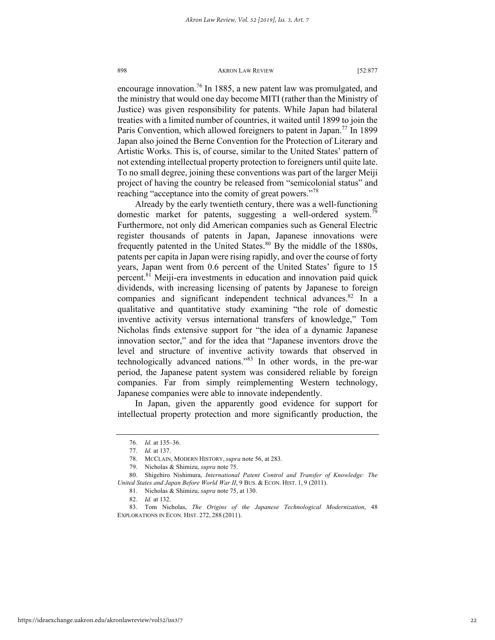encourage innovation.<sup>76</sup> In 1885, a new patent law was promulgated, and the ministry that would one day become MITI (rather than the Ministry of Justice) was given responsibility for patents. While Japan had bilateral treaties with a limited number of countries, it waited until 1899 to join the Paris Convention, which allowed foreigners to patent in Japan.<sup>77</sup> In 1899 Japan also joined the Berne Convention for the Protection of Literary and Artistic Works. This is, of course, similar to the United States' pattern of not extending intellectual property protection to foreigners until quite late. To no small degree, joining these conventions was part of the larger Meiji project of having the country be released from "semicolonial status" and reaching "acceptance into the comity of great powers."<sup>78</sup>

Already by the early twentieth century, there was a well-functioning domestic market for patents, suggesting a well-ordered system.<sup>79</sup> Furthermore, not only did American companies such as General Electric register thousands of patents in Japan, Japanese innovations were frequently patented in the United States. $80$  By the middle of the 1880s, patents per capita in Japan were rising rapidly, and over the course of forty years, Japan went from 0.6 percent of the United States' figure to 15 percent.81 Meiji-era investments in education and innovation paid quick dividends, with increasing licensing of patents by Japanese to foreign companies and significant independent technical advances.<sup>82</sup> In a qualitative and quantitative study examining "the role of domestic inventive activity versus international transfers of knowledge," Tom Nicholas finds extensive support for "the idea of a dynamic Japanese innovation sector," and for the idea that "Japanese inventors drove the level and structure of inventive activity towards that observed in technologically advanced nations."<sup>83</sup> In other words, in the pre-war period, the Japanese patent system was considered reliable by foreign companies. Far from simply reimplementing Western technology, Japanese companies were able to innovate independently.

In Japan, given the apparently good evidence for support for intellectual property protection and more significantly production, the

<sup>76.</sup> *Id.* at 135–36.

<sup>77.</sup> *Id.* at 137.

<sup>78.</sup> MCCLAIN, MODERN HISTORY, *supra* note 56, at 283.

<sup>79.</sup> Nicholas & Shimizu, *supra* note 75.

<sup>80.</sup> Shigehiro Nishimura, *International Patent Control and Transfer of Knowledge: The United States and Japan Before World War II*, 9 BUS. & ECON. HIST. 1, 9 (2011).

<sup>81.</sup> Nicholas & Shimizu, *supra* note 75, at 130.

<sup>82.</sup> *Id.* at 132.

<sup>83.</sup> Tom Nicholas, *The Origins of the Japanese Technological Modernization*, 48 EXPLORATIONS IN ECON. HIST. 272, 288 (2011).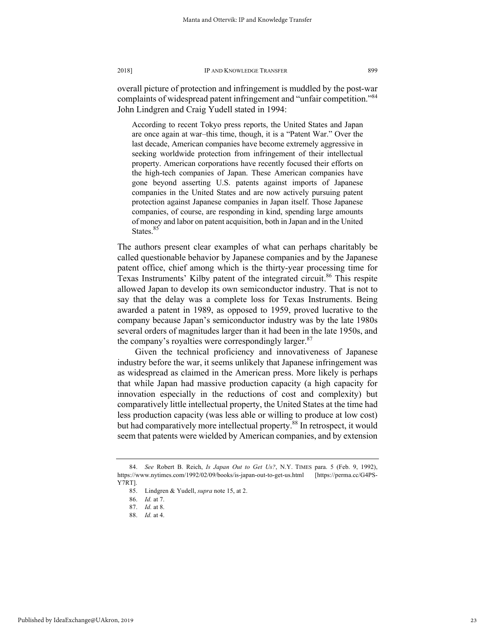overall picture of protection and infringement is muddled by the post-war complaints of widespread patent infringement and "unfair competition."84 John Lindgren and Craig Yudell stated in 1994:

According to recent Tokyo press reports, the United States and Japan are once again at war–this time, though, it is a "Patent War." Over the last decade, American companies have become extremely aggressive in seeking worldwide protection from infringement of their intellectual property. American corporations have recently focused their efforts on the high-tech companies of Japan. These American companies have gone beyond asserting U.S. patents against imports of Japanese companies in the United States and are now actively pursuing patent protection against Japanese companies in Japan itself. Those Japanese companies, of course, are responding in kind, spending large amounts of money and labor on patent acquisition, both in Japan and in the United States.<sup>85</sup>

The authors present clear examples of what can perhaps charitably be called questionable behavior by Japanese companies and by the Japanese patent office, chief among which is the thirty-year processing time for Texas Instruments' Kilby patent of the integrated circuit.<sup>86</sup> This respite allowed Japan to develop its own semiconductor industry. That is not to say that the delay was a complete loss for Texas Instruments. Being awarded a patent in 1989, as opposed to 1959, proved lucrative to the company because Japan's semiconductor industry was by the late 1980s several orders of magnitudes larger than it had been in the late 1950s, and the company's royalties were correspondingly larger. $87$ 

Given the technical proficiency and innovativeness of Japanese industry before the war, it seems unlikely that Japanese infringement was as widespread as claimed in the American press. More likely is perhaps that while Japan had massive production capacity (a high capacity for innovation especially in the reductions of cost and complexity) but comparatively little intellectual property, the United States at the time had less production capacity (was less able or willing to produce at low cost) but had comparatively more intellectual property.<sup>88</sup> In retrospect, it would seem that patents were wielded by American companies, and by extension

<sup>84.</sup> *See* Robert B. Reich, *Is Japan Out to Get Us?*, N.Y. TIMES para. 5 (Feb. 9, 1992), https://www.nytimes.com/1992/02/09/books/is-japan-out-to-get-us.html [https://perma.cc/G4PS-Y7RT].

<sup>85.</sup> Lindgren & Yudell, *supra* note 15, at 2.

<sup>86.</sup> *Id.* at 7.

<sup>87.</sup> *Id.* at 8.

<sup>88.</sup> *Id.* at 4.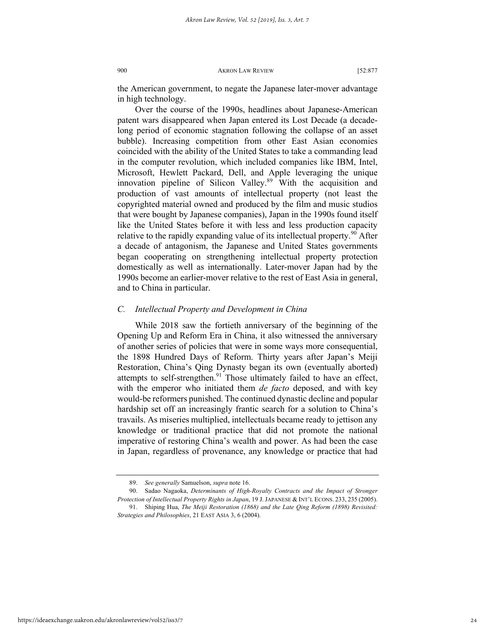the American government, to negate the Japanese later-mover advantage in high technology.

Over the course of the 1990s, headlines about Japanese-American patent wars disappeared when Japan entered its Lost Decade (a decadelong period of economic stagnation following the collapse of an asset bubble). Increasing competition from other East Asian economies coincided with the ability of the United States to take a commanding lead in the computer revolution, which included companies like IBM, Intel, Microsoft, Hewlett Packard, Dell, and Apple leveraging the unique innovation pipeline of Silicon Valley.<sup>89</sup> With the acquisition and production of vast amounts of intellectual property (not least the copyrighted material owned and produced by the film and music studios that were bought by Japanese companies), Japan in the 1990s found itself like the United States before it with less and less production capacity relative to the rapidly expanding value of its intellectual property.<sup>90</sup> After a decade of antagonism, the Japanese and United States governments began cooperating on strengthening intellectual property protection domestically as well as internationally. Later-mover Japan had by the 1990s become an earlier-mover relative to the rest of East Asia in general, and to China in particular.

#### *C. Intellectual Property and Development in China*

While 2018 saw the fortieth anniversary of the beginning of the Opening Up and Reform Era in China, it also witnessed the anniversary of another series of policies that were in some ways more consequential, the 1898 Hundred Days of Reform. Thirty years after Japan's Meiji Restoration, China's Qing Dynasty began its own (eventually aborted) attempts to self-strengthen. $91$  Those ultimately failed to have an effect, with the emperor who initiated them *de facto* deposed, and with key would-be reformers punished. The continued dynastic decline and popular hardship set off an increasingly frantic search for a solution to China's travails. As miseries multiplied, intellectuals became ready to jettison any knowledge or traditional practice that did not promote the national imperative of restoring China's wealth and power. As had been the case in Japan, regardless of provenance, any knowledge or practice that had

<sup>89.</sup> *See generally* Samuelson, *supra* note 16.

<sup>90.</sup> Sadao Nagaoka, *Determinants of High-Royalty Contracts and the Impact of Stronger Protection of Intellectual Property Rights in Japan*, 19 J.JAPANESE & INT'L ECONS. 233, 235 (2005). 91. Shiping Hua, *The Meiji Restoration (1868) and the Late Qing Reform (1898) Revisited:*

*Strategies and Philosophies*, 21 EAST ASIA 3, 6 (2004).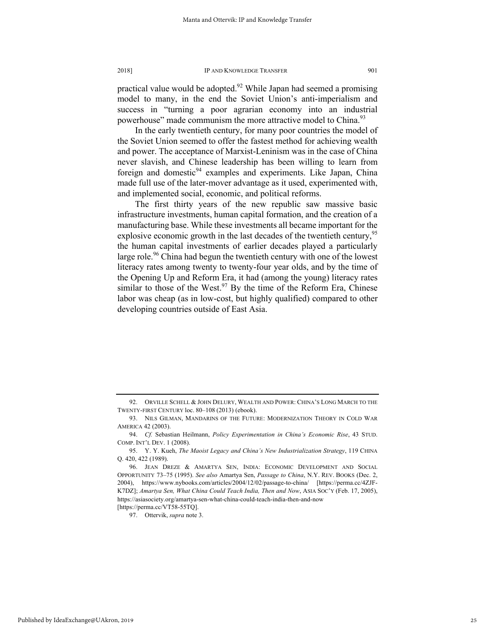practical value would be adopted.<sup>92</sup> While Japan had seemed a promising model to many, in the end the Soviet Union's anti-imperialism and success in "turning a poor agrarian economy into an industrial powerhouse" made communism the more attractive model to China.<sup>93</sup>

In the early twentieth century, for many poor countries the model of the Soviet Union seemed to offer the fastest method for achieving wealth and power. The acceptance of Marxist-Leninism was in the case of China never slavish, and Chinese leadership has been willing to learn from foreign and domestic<sup>94</sup> examples and experiments. Like Japan, China made full use of the later-mover advantage as it used, experimented with, and implemented social, economic, and political reforms.

The first thirty years of the new republic saw massive basic infrastructure investments, human capital formation, and the creation of a manufacturing base. While these investments all became important for the explosive economic growth in the last decades of the twentieth century,  $95$ the human capital investments of earlier decades played a particularly large role.<sup>96</sup> China had begun the twentieth century with one of the lowest literacy rates among twenty to twenty-four year olds, and by the time of the Opening Up and Reform Era, it had (among the young) literacy rates similar to those of the West. $97$  By the time of the Reform Era, Chinese labor was cheap (as in low-cost, but highly qualified) compared to other developing countries outside of East Asia.

97. Ottervik, *supra* note 3.

<sup>92.</sup> ORVILLE SCHELL & JOHN DELURY, WEALTH AND POWER: CHINA'S LONG MARCH TO THE TWENTY-FIRST CENTURY loc. 80–108 (2013) (ebook).

<sup>93.</sup> NILS GILMAN, MANDARINS OF THE FUTURE: MODERNIZATION THEORY IN COLD WAR AMERICA 42 (2003).

<sup>94.</sup> *Cf.* Sebastian Heilmann, *Policy Experimentation in China's Economic Rise*, 43 STUD. COMP. INT'L DEV. 1 (2008).

<sup>95.</sup> Y. Y. Kueh, *The Maoist Legacy and China's New Industrialization Strategy*, 119 CHINA Q. 420, 422 (1989).

<sup>96.</sup> JEAN DREZE & AMARTYA SEN, INDIA: ECONOMIC DEVELOPMENT AND SOCIAL OPPORTUNITY 73–75 (1995). *See also* Amartya Sen, *Passage to China*, N.Y. REV. BOOKS (Dec. 2, 2004), https://www.nybooks.com/articles/2004/12/02/passage-to-china/ [https://perma.cc/4ZJF-K7DZ]; *Amartya Sen, What China Could Teach India, Then and Now*, ASIA SOC'Y (Feb. 17, 2005), https://asiasociety.org/amartya-sen-what-china-could-teach-india-then-and-now [https://perma.cc/VT58-55TQ].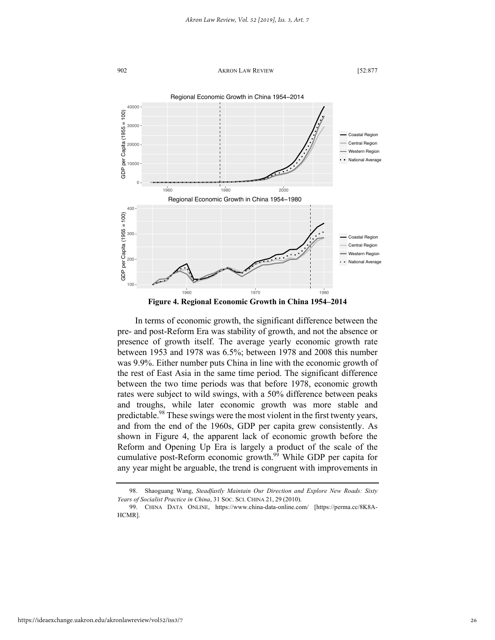

**Figure 4. Regional Economic Growth in China 1954–2014**

In terms of economic growth, the significant difference between the pre- and post-Reform Era was stability of growth, and not the absence or presence of growth itself. The average yearly economic growth rate between 1953 and 1978 was 6.5%; between 1978 and 2008 this number was 9.9%. Either number puts China in line with the economic growth of the rest of East Asia in the same time period. The significant difference between the two time periods was that before 1978, economic growth rates were subject to wild swings, with a 50% difference between peaks and troughs, while later economic growth was more stable and predictable.<sup>98</sup> These swings were the most violent in the first twenty years, and from the end of the 1960s, GDP per capita grew consistently. As shown in Figure 4, the apparent lack of economic growth before the Reform and Opening Up Era is largely a product of the scale of the cumulative post-Reform economic growth.99 While GDP per capita for any year might be arguable, the trend is congruent with improvements in

<sup>98.</sup> Shaoguang Wang, *Steadfastly Maintain Our Direction and Explore New Roads: Sixty Years of Socialist Practice in China*, 31 SOC. SCI. CHINA 21, 29 (2010).

<sup>99.</sup> CHINA DATA ONLINE, https://www.china-data-online.com/ [https://perma.cc/8K8A-HCMR].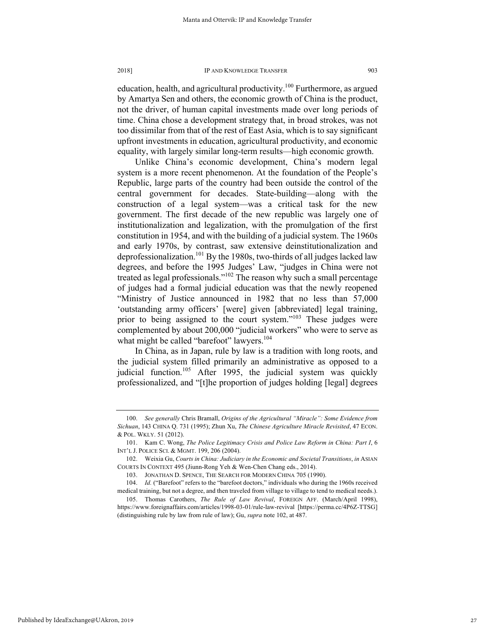education, health, and agricultural productivity.<sup>100</sup> Furthermore, as argued by Amartya Sen and others, the economic growth of China is the product, not the driver, of human capital investments made over long periods of time. China chose a development strategy that, in broad strokes, was not too dissimilar from that of the rest of East Asia, which is to say significant upfront investments in education, agricultural productivity, and economic equality, with largely similar long-term results—high economic growth.

Unlike China's economic development, China's modern legal system is a more recent phenomenon. At the foundation of the People's Republic, large parts of the country had been outside the control of the central government for decades. State-building—along with the construction of a legal system—was a critical task for the new government. The first decade of the new republic was largely one of institutionalization and legalization, with the promulgation of the first constitution in 1954, and with the building of a judicial system. The 1960s and early 1970s, by contrast, saw extensive deinstitutionalization and deprofessionalization.<sup>101</sup> By the 1980s, two-thirds of all judges lacked law degrees, and before the 1995 Judges' Law, "judges in China were not treated as legal professionals."102 The reason why such a small percentage of judges had a formal judicial education was that the newly reopened "Ministry of Justice announced in 1982 that no less than 57,000 'outstanding army officers' [were] given [abbreviated] legal training, prior to being assigned to the court system."<sup>103</sup> These judges were complemented by about 200,000 "judicial workers" who were to serve as what might be called "barefoot" lawyers.<sup>104</sup>

In China, as in Japan, rule by law is a tradition with long roots, and the judicial system filled primarily an administrative as opposed to a judicial function.<sup>105</sup> After 1995, the judicial system was quickly professionalized, and "[t]he proportion of judges holding [legal] degrees

<sup>100.</sup> *See generally* Chris Bramall, *Origins of the Agricultural "Miracle": Some Evidence from Sichuan*, 143 CHINA Q. 731 (1995); Zhun Xu, *The Chinese Agriculture Miracle Revisited*, 47 ECON. & POL. WKLY. 51 (2012).

<sup>101.</sup> Kam C. Wong, *The Police Legitimacy Crisis and Police Law Reform in China: Part I*, 6 INT'L J. POLICE SCI. & MGMT. 199, 206 (2004).

<sup>102.</sup> Weixia Gu, *Courts in China: Judiciary in the Economic and Societal Transitions*, *in* ASIAN COURTS IN CONTEXT 495 (Jiunn-Rong Yeh & Wen-Chen Chang eds., 2014).

<sup>103.</sup> JONATHAN D. SPENCE, THE SEARCH FOR MODERN CHINA 705 (1990).

<sup>104.</sup> *Id.* ("Barefoot" refers to the "barefoot doctors," individuals who during the 1960s received medical training, but not a degree, and then traveled from village to village to tend to medical needs.).

<sup>105.</sup> Thomas Carothers, *The Rule of Law Revival*, FOREIGN AFF. (March/April 1998), https://www.foreignaffairs.com/articles/1998-03-01/rule-law-revival [https://perma.cc/4P6Z-TTSG] (distinguishing rule by law from rule of law); Gu, *supra* note 102, at 487.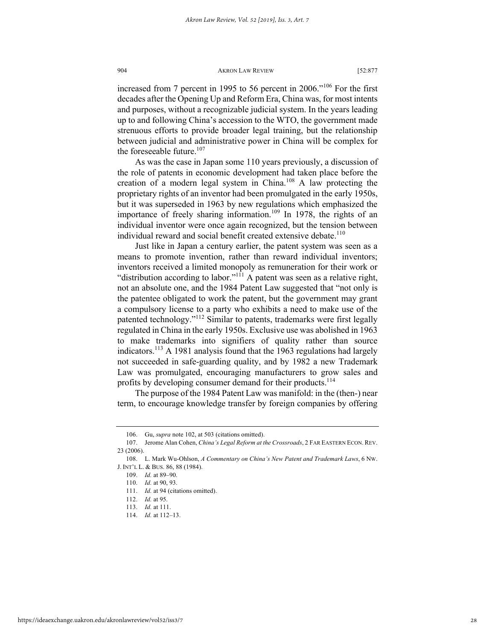increased from 7 percent in 1995 to 56 percent in 2006."<sup>106</sup> For the first decades after the Opening Up and Reform Era, China was, for most intents and purposes, without a recognizable judicial system. In the years leading up to and following China's accession to the WTO, the government made strenuous efforts to provide broader legal training, but the relationship between judicial and administrative power in China will be complex for the foreseeable future. $107$ 

As was the case in Japan some 110 years previously, a discussion of the role of patents in economic development had taken place before the creation of a modern legal system in China.<sup>108</sup> A law protecting the proprietary rights of an inventor had been promulgated in the early 1950s, but it was superseded in 1963 by new regulations which emphasized the importance of freely sharing information.<sup>109</sup> In 1978, the rights of an individual inventor were once again recognized, but the tension between individual reward and social benefit created extensive debate.<sup>110</sup>

Just like in Japan a century earlier, the patent system was seen as a means to promote invention, rather than reward individual inventors; inventors received a limited monopoly as remuneration for their work or "distribution according to labor."<sup>111</sup> A patent was seen as a relative right, not an absolute one, and the 1984 Patent Law suggested that "not only is the patentee obligated to work the patent, but the government may grant a compulsory license to a party who exhibits a need to make use of the patented technology."<sup>112</sup> Similar to patents, trademarks were first legally regulated in China in the early 1950s. Exclusive use was abolished in 1963 to make trademarks into signifiers of quality rather than source indicators.113 A 1981 analysis found that the 1963 regulations had largely not succeeded in safe-guarding quality, and by 1982 a new Trademark Law was promulgated, encouraging manufacturers to grow sales and profits by developing consumer demand for their products.<sup>114</sup>

The purpose of the 1984 Patent Law was manifold: in the (then-) near term, to encourage knowledge transfer by foreign companies by offering

<sup>106.</sup> Gu, *supra* note 102, at 503 (citations omitted).

<sup>107.</sup> Jerome Alan Cohen, *China's Legal Reform at the Crossroads*, 2 FAR EASTERN ECON. REV. 23 (2006).

<sup>108.</sup> L. Mark Wu-Ohlson, *A Commentary on China's New Patent and Trademark Laws*, 6 NW. J. INT'L L. & BUS. 86, 88 (1984).

<sup>109.</sup> *Id.* at 89–90.

<sup>110.</sup> *Id.* at 90, 93.

<sup>111.</sup> *Id.* at 94 (citations omitted).

<sup>112.</sup> *Id.* at 95.

<sup>113.</sup> *Id.* at 111.

<sup>114.</sup> *Id.* at 112–13.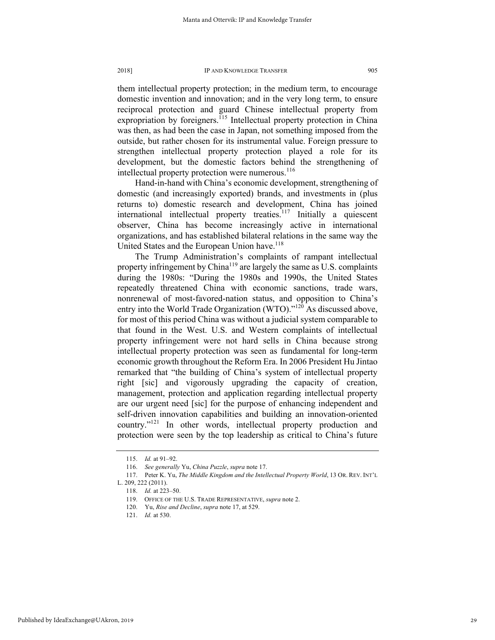them intellectual property protection; in the medium term, to encourage domestic invention and innovation; and in the very long term, to ensure reciprocal protection and guard Chinese intellectual property from expropriation by foreigners.<sup>115</sup> Intellectual property protection in China was then, as had been the case in Japan, not something imposed from the outside, but rather chosen for its instrumental value. Foreign pressure to strengthen intellectual property protection played a role for its development, but the domestic factors behind the strengthening of intellectual property protection were numerous.<sup>116</sup>

Hand-in-hand with China's economic development, strengthening of domestic (and increasingly exported) brands, and investments in (plus returns to) domestic research and development, China has joined international intellectual property treaties.<sup>117</sup> Initially a quiescent observer, China has become increasingly active in international organizations, and has established bilateral relations in the same way the United States and the European Union have.<sup>118</sup>

The Trump Administration's complaints of rampant intellectual property infringement by China<sup>119</sup> are largely the same as U.S. complaints during the 1980s: "During the 1980s and 1990s, the United States repeatedly threatened China with economic sanctions, trade wars, nonrenewal of most-favored-nation status, and opposition to China's entry into the World Trade Organization (WTO)." $120$ As discussed above, for most of this period China was without a judicial system comparable to that found in the West. U.S. and Western complaints of intellectual property infringement were not hard sells in China because strong intellectual property protection was seen as fundamental for long-term economic growth throughout the Reform Era. In 2006 President Hu Jintao remarked that "the building of China's system of intellectual property right [sic] and vigorously upgrading the capacity of creation, management, protection and application regarding intellectual property are our urgent need [sic] for the purpose of enhancing independent and self-driven innovation capabilities and building an innovation-oriented country."<sup>121</sup> In other words, intellectual property production and protection were seen by the top leadership as critical to China's future

<sup>115.</sup> *Id.* at 91–92.

<sup>116.</sup> *See generally* Yu, *China Puzzle*, *supra* note 17.

<sup>117.</sup> Peter K. Yu, *The Middle Kingdom and the Intellectual Property World*, 13 OR. REV. INT'L

L. 209, 222 (2011).

<sup>118.</sup> *Id.* at 223–50.

<sup>119.</sup> OFFICE OF THE U.S. TRADE REPRESENTATIVE, *supra* note 2.

<sup>120.</sup> Yu, *Rise and Decline*, *supra* note 17, at 529.

<sup>121.</sup> *Id.* at 530.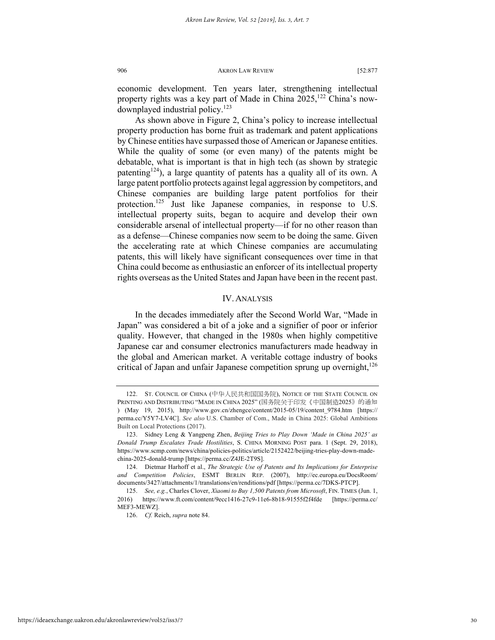economic development. Ten years later, strengthening intellectual property rights was a key part of Made in China  $2025$ ,  $^{122}$  China's nowdownplayed industrial policy.<sup>123</sup>

As shown above in Figure 2, China's policy to increase intellectual property production has borne fruit as trademark and patent applications by Chinese entities have surpassed those of American or Japanese entities. While the quality of some (or even many) of the patents might be debatable, what is important is that in high tech (as shown by strategic patenting<sup>124</sup>), a large quantity of patents has a quality all of its own. A large patent portfolio protects against legal aggression by competitors, and Chinese companies are building large patent portfolios for their protection.<sup>125</sup> Just like Japanese companies, in response to U.S. intellectual property suits, began to acquire and develop their own considerable arsenal of intellectual property—if for no other reason than as a defense—Chinese companies now seem to be doing the same. Given the accelerating rate at which Chinese companies are accumulating patents, this will likely have significant consequences over time in that China could become as enthusiastic an enforcer of its intellectual property rights overseas as the United States and Japan have been in the recent past.

# IV. ANALYSIS

In the decades immediately after the Second World War, "Made in Japan" was considered a bit of a joke and a signifier of poor or inferior quality. However, that changed in the 1980s when highly competitive Japanese car and consumer electronics manufacturers made headway in the global and American market. A veritable cottage industry of books critical of Japan and unfair Japanese competition sprung up overnight, $126$ 

<sup>122.</sup> ST. COUNCIL OF CHINA (中华人民共和国国务院), NOTICE OF THE STATE COUNCIL ON PRINTING AND DISTRIBUTING "MADE IN CHINA 2025" (国务院关于印发《中国制造2025》的通知 ) (May 19, 2015), http://www.gov.cn/zhengce/content/2015-05/19/content\_9784.htm [https:// perma.cc/Y5Y7-LV4C]. *See also* U.S. Chamber of Com., Made in China 2025: Global Ambitions Built on Local Protections (2017).

<sup>123.</sup> Sidney Leng & Yangpeng Zhen, *Beijing Tries to Play Down 'Made in China 2025' as Donald Trump Escalates Trade Hostilities*, S. CHINA MORNING POST para. 1 (Sept. 29, 2018), https://www.scmp.com/news/china/policies-politics/article/2152422/beijing-tries-play-down-madechina-2025-donald-trump [https://perma.cc/Z4JE-2T9S].

<sup>124.</sup> Dietmar Harhoff et al., *The Strategic Use of Patents and Its Implications for Enterprise and Competition Policies*, ESMT BERLIN REP. (2007), http://ec.europa.eu/DocsRoom/ documents/3427/attachments/1/translations/en/renditions/pdf [https://perma.cc/7DKS-PTCP].

<sup>125.</sup> *See, e.g.*, Charles Clover, *Xiaomi to Buy 1,500 Patents from Microsoft*, FIN. TIMES (Jun. 1, 2016) https://www.ft.com/content/9ecc1416-27c9-11e6-8b18-91555f2f4fde [https://perma.cc/ MEF3-MEWZ].

<sup>126.</sup> *Cf.* Reich, *supra* note 84.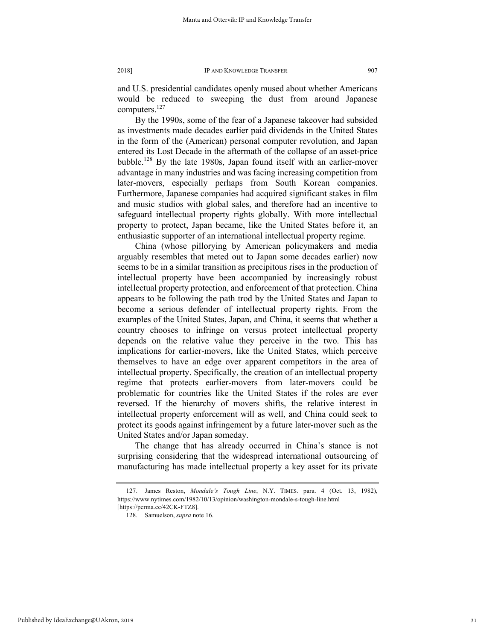and U.S. presidential candidates openly mused about whether Americans would be reduced to sweeping the dust from around Japanese computers.<sup>127</sup>

By the 1990s, some of the fear of a Japanese takeover had subsided as investments made decades earlier paid dividends in the United States in the form of the (American) personal computer revolution, and Japan entered its Lost Decade in the aftermath of the collapse of an asset-price bubble.128 By the late 1980s, Japan found itself with an earlier-mover advantage in many industries and was facing increasing competition from later-movers, especially perhaps from South Korean companies. Furthermore, Japanese companies had acquired significant stakes in film and music studios with global sales, and therefore had an incentive to safeguard intellectual property rights globally. With more intellectual property to protect, Japan became, like the United States before it, an enthusiastic supporter of an international intellectual property regime.

China (whose pillorying by American policymakers and media arguably resembles that meted out to Japan some decades earlier) now seems to be in a similar transition as precipitous rises in the production of intellectual property have been accompanied by increasingly robust intellectual property protection, and enforcement of that protection. China appears to be following the path trod by the United States and Japan to become a serious defender of intellectual property rights. From the examples of the United States, Japan, and China, it seems that whether a country chooses to infringe on versus protect intellectual property depends on the relative value they perceive in the two. This has implications for earlier-movers, like the United States, which perceive themselves to have an edge over apparent competitors in the area of intellectual property. Specifically, the creation of an intellectual property regime that protects earlier-movers from later-movers could be problematic for countries like the United States if the roles are ever reversed. If the hierarchy of movers shifts, the relative interest in intellectual property enforcement will as well, and China could seek to protect its goods against infringement by a future later-mover such as the United States and/or Japan someday.

The change that has already occurred in China's stance is not surprising considering that the widespread international outsourcing of manufacturing has made intellectual property a key asset for its private

<sup>127.</sup> James Reston, *Mondale's Tough Line*, N.Y. TIMES. para. 4 (Oct. 13, 1982), https://www.nytimes.com/1982/10/13/opinion/washington-mondale-s-tough-line.html [https://perma.cc/42CK-FTZ8].

<sup>128.</sup> Samuelson, *supra* note 16.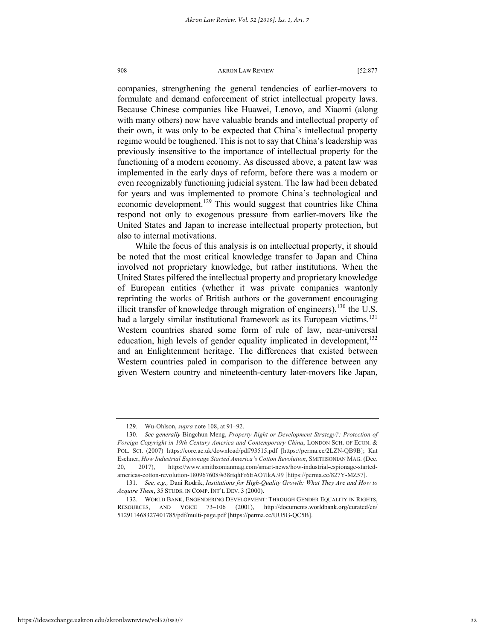companies, strengthening the general tendencies of earlier-movers to formulate and demand enforcement of strict intellectual property laws. Because Chinese companies like Huawei, Lenovo, and Xiaomi (along with many others) now have valuable brands and intellectual property of their own, it was only to be expected that China's intellectual property regime would be toughened. This is not to say that China's leadership was previously insensitive to the importance of intellectual property for the functioning of a modern economy. As discussed above, a patent law was implemented in the early days of reform, before there was a modern or even recognizably functioning judicial system. The law had been debated for years and was implemented to promote China's technological and economic development.<sup>129</sup> This would suggest that countries like China respond not only to exogenous pressure from earlier-movers like the United States and Japan to increase intellectual property protection, but also to internal motivations.

While the focus of this analysis is on intellectual property, it should be noted that the most critical knowledge transfer to Japan and China involved not proprietary knowledge, but rather institutions. When the United States pilfered the intellectual property and proprietary knowledge of European entities (whether it was private companies wantonly reprinting the works of British authors or the government encouraging illicit transfer of knowledge through migration of engineers),  $130$  the U.S. had a largely similar institutional framework as its European victims.<sup>131</sup> Western countries shared some form of rule of law, near-universal education, high levels of gender equality implicated in development,<sup>132</sup> and an Enlightenment heritage. The differences that existed between Western countries paled in comparison to the difference between any given Western country and nineteenth-century later-movers like Japan,

<sup>129.</sup> Wu-Ohlson, *supra* note 108, at 91–92.

<sup>130.</sup> *See generally* Bingchun Meng, *Property Right or Development Strategy?: Protection of Foreign Copyright in 19th Century America and Contemporary China*, LONDON SCH. OF ECON. & POL. SCI. (2007) https://core.ac.uk/download/pdf/93515.pdf [https://perma.cc/2LZN-QB9B]; Kat Eschner, *How Industrial Espionage Started America's Cotton Revolution*, SMITHSONIAN MAG. (Dec. 20, 2017), https://www.smithsonianmag.com/smart-news/how-industrial-espionage-startedamericas-cotton-revolution-180967608/#38rtqhFr6EAO7lkA.99 [https://perma.cc/827Y-MZ57].

<sup>131.</sup> *See, e.g.,* Dani Rodrik, *Institutions for High-Quality Growth: What They Are and How to Acquire Them*, 35 STUDS. IN COMP. INT'L DEV. 3 (2000).

<sup>132.</sup> WORLD BANK, ENGENDERING DEVELOPMENT: THROUGH GENDER EQUALITY IN RIGHTS, RESOURCES, AND VOICE 73–106 (2001), http://documents.worldbank.org/curated/en/ 512911468327401785/pdf/multi-page.pdf [https://perma.cc/UU5G-QC5B].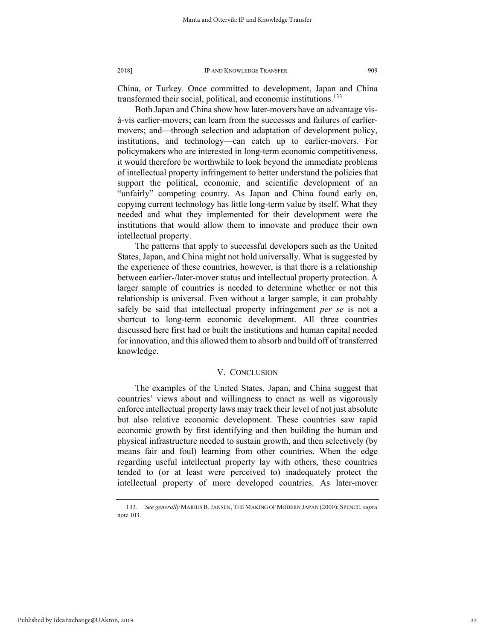China, or Turkey. Once committed to development, Japan and China transformed their social, political, and economic institutions.<sup>133</sup>

Both Japan and China show how later-movers have an advantage visà-vis earlier-movers; can learn from the successes and failures of earliermovers; and—through selection and adaptation of development policy, institutions, and technology—can catch up to earlier-movers. For policymakers who are interested in long-term economic competitiveness, it would therefore be worthwhile to look beyond the immediate problems of intellectual property infringement to better understand the policies that support the political, economic, and scientific development of an "unfairly" competing country. As Japan and China found early on, copying current technology has little long-term value by itself. What they needed and what they implemented for their development were the institutions that would allow them to innovate and produce their own intellectual property.

The patterns that apply to successful developers such as the United States, Japan, and China might not hold universally. What is suggested by the experience of these countries, however, is that there is a relationship between earlier-/later-mover status and intellectual property protection. A larger sample of countries is needed to determine whether or not this relationship is universal. Even without a larger sample, it can probably safely be said that intellectual property infringement *per se* is not a shortcut to long-term economic development. All three countries discussed here first had or built the institutions and human capital needed for innovation, and this allowed them to absorb and build off of transferred knowledge.

# V. CONCLUSION

The examples of the United States, Japan, and China suggest that countries' views about and willingness to enact as well as vigorously enforce intellectual property laws may track their level of not just absolute but also relative economic development. These countries saw rapid economic growth by first identifying and then building the human and physical infrastructure needed to sustain growth, and then selectively (by means fair and foul) learning from other countries. When the edge regarding useful intellectual property lay with others, these countries tended to (or at least were perceived to) inadequately protect the intellectual property of more developed countries. As later-mover

<sup>133.</sup> *See generally* MARIUS B.JANSEN, THE MAKING OF MODERN JAPAN (2000); SPENCE,*supra*  note 103.